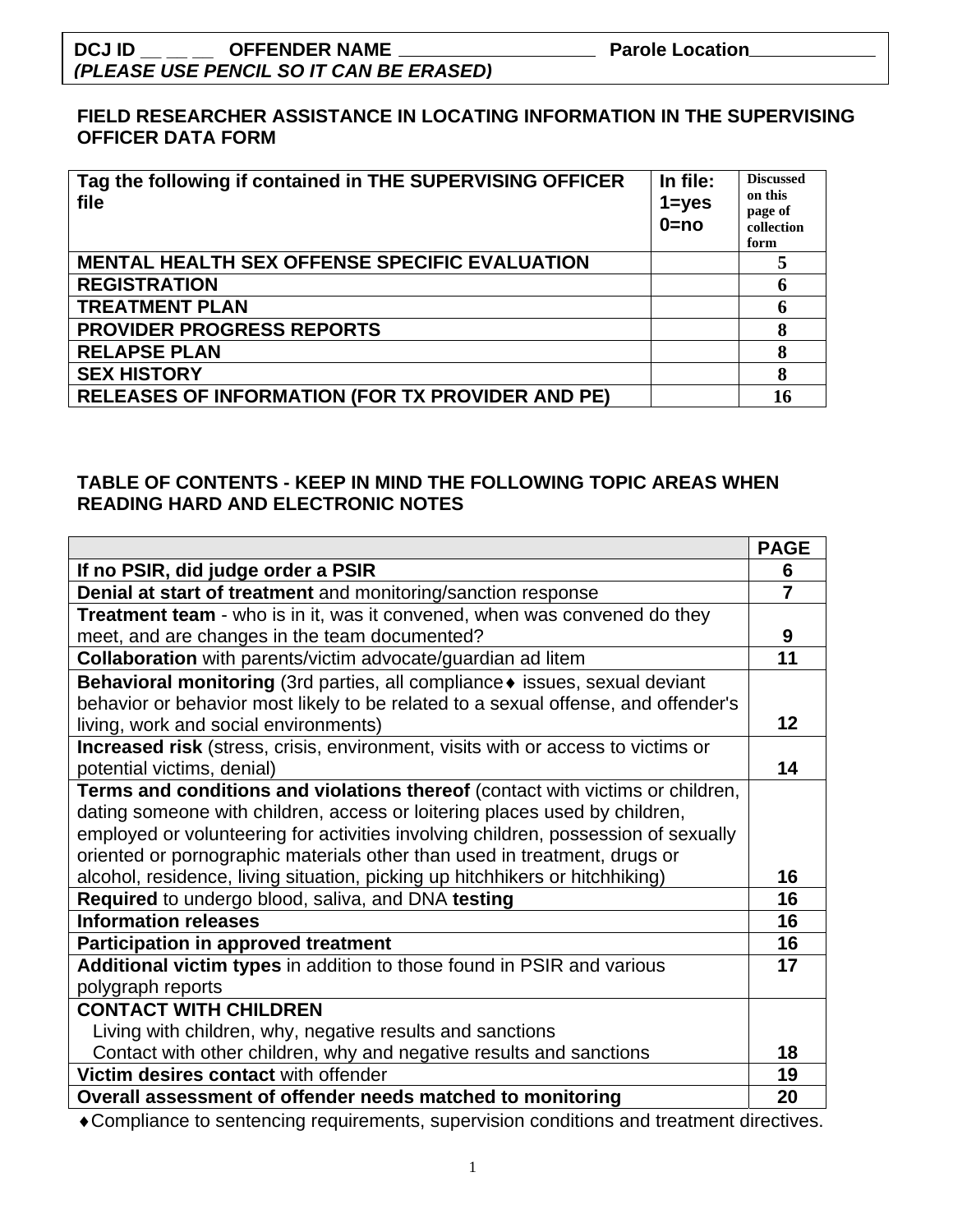### **DCJ ID \_\_ \_\_ \_\_ OFFENDER NAME Parole Location**  *(PLEASE USE PENCIL SO IT CAN BE ERASED)*

#### **FIELD RESEARCHER ASSISTANCE IN LOCATING INFORMATION IN THE SUPERVISING OFFICER DATA FORM**

| Tag the following if contained in THE SUPERVISING OFFICER<br>file | In file:<br>$1 = yes$<br>$0 = no$ | <b>Discussed</b><br>on this<br>page of<br>collection<br>form |
|-------------------------------------------------------------------|-----------------------------------|--------------------------------------------------------------|
| <b>MENTAL HEALTH SEX OFFENSE SPECIFIC EVALUATION</b>              |                                   |                                                              |
| <b>REGISTRATION</b>                                               |                                   | 6                                                            |
| <b>TREATMENT PLAN</b>                                             |                                   | 6                                                            |
| <b>PROVIDER PROGRESS REPORTS</b>                                  |                                   | 8                                                            |
| <b>RELAPSE PLAN</b>                                               |                                   | 8                                                            |
| <b>SEX HISTORY</b>                                                |                                   | 8                                                            |
| <b>RELEASES OF INFORMATION (FOR TX PROVIDER AND PE)</b>           |                                   | 16                                                           |

#### **TABLE OF CONTENTS - KEEP IN MIND THE FOLLOWING TOPIC AREAS WHEN READING HARD AND ELECTRONIC NOTES**

|                                                                                         | <b>PAGE</b> |
|-----------------------------------------------------------------------------------------|-------------|
| If no PSIR, did judge order a PSIR                                                      | 6           |
| <b>Denial at start of treatment</b> and monitoring/sanction response                    | 7           |
| <b>Treatment team</b> - who is in it, was it convened, when was convened do they        |             |
| meet, and are changes in the team documented?                                           | 9           |
| <b>Collaboration</b> with parents/victim advocate/guardian ad litem                     | 11          |
| Behavioral monitoring (3rd parties, all compliance • issues, sexual deviant             |             |
| behavior or behavior most likely to be related to a sexual offense, and offender's      |             |
| living, work and social environments)                                                   | 12          |
| <b>Increased risk</b> (stress, crisis, environment, visits with or access to victims or |             |
| potential victims, denial)                                                              | 14          |
| Terms and conditions and violations thereof (contact with victims or children,          |             |
| dating someone with children, access or loitering places used by children,              |             |
| employed or volunteering for activities involving children, possession of sexually      |             |
| oriented or pornographic materials other than used in treatment, drugs or               |             |
| alcohol, residence, living situation, picking up hitchhikers or hitchhiking)            | 16          |
| Required to undergo blood, saliva, and DNA testing                                      | 16          |
| <b>Information releases</b>                                                             | 16          |
| <b>Participation in approved treatment</b>                                              | 16          |
| Additional victim types in addition to those found in PSIR and various                  | 17          |
| polygraph reports                                                                       |             |
| <b>CONTACT WITH CHILDREN</b>                                                            |             |
| Living with children, why, negative results and sanctions                               |             |
| Contact with other children, why and negative results and sanctions                     | 18          |
| Victim desires contact with offender                                                    | 19          |
| Overall assessment of offender needs matched to monitoring                              | 20          |

♦Compliance to sentencing requirements, supervision conditions and treatment directives.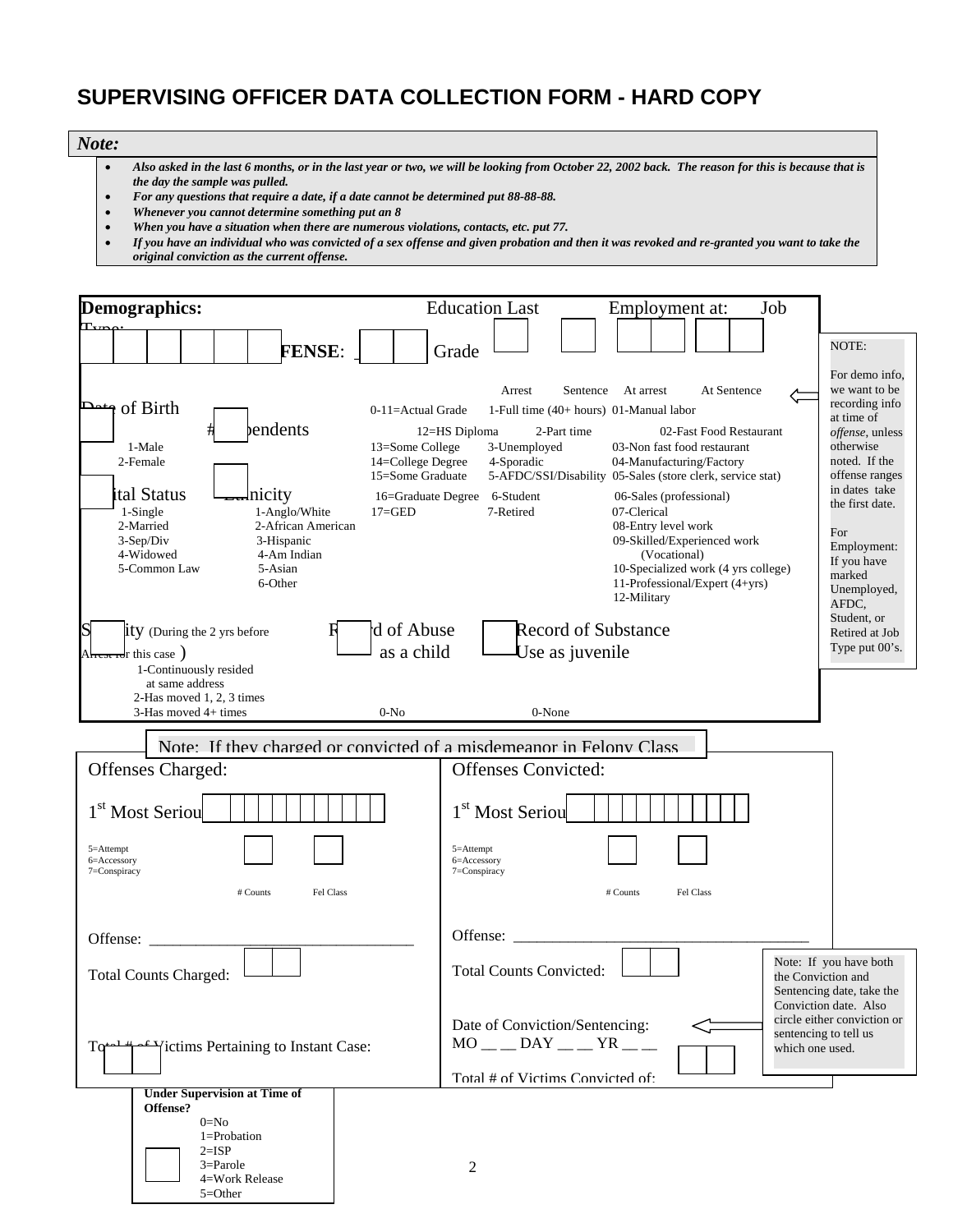## **SUPERVISING OFFICER DATA COLLECTION FORM - HARD COPY**

#### *Note:*

- *Also asked in the last 6 months, or in the last year or two, we will be looking from October 22, 2002 back. The reason for this is because that is the day the sample was pulled.*
- *For any questions that require a date, if a date cannot be determined put 88-88-88.*
- *Whenever you cannot determine something put an 8*
- *When you have a situation when there are numerous violations, contacts, etc. put 77.*
- *If you have an individual who was convicted of a sex offense and given probation and then it was revoked and re-granted you want to take the original conviction as the current offense.*

| Demographics:                                                                                                                                                                                                                             | <b>Education Last</b><br>Job<br>Employment at:                                                                                                                                                                                                                                                                                                                                                                                                                                                                                                                                                                                                                        |                                                                                                                                                                                                                                      |
|-------------------------------------------------------------------------------------------------------------------------------------------------------------------------------------------------------------------------------------------|-----------------------------------------------------------------------------------------------------------------------------------------------------------------------------------------------------------------------------------------------------------------------------------------------------------------------------------------------------------------------------------------------------------------------------------------------------------------------------------------------------------------------------------------------------------------------------------------------------------------------------------------------------------------------|--------------------------------------------------------------------------------------------------------------------------------------------------------------------------------------------------------------------------------------|
|                                                                                                                                                                                                                                           |                                                                                                                                                                                                                                                                                                                                                                                                                                                                                                                                                                                                                                                                       |                                                                                                                                                                                                                                      |
| <b>FENSE:</b>                                                                                                                                                                                                                             | Grade                                                                                                                                                                                                                                                                                                                                                                                                                                                                                                                                                                                                                                                                 | NOTE:                                                                                                                                                                                                                                |
| n of Birth<br>مط<br>bendents<br>1-Male<br>2-Female<br>ital Status<br>Inicity<br>1-Single<br>1-Anglo/White<br>2-Married<br>2-African American<br>3-Sep/Div<br>3-Hispanic<br>4-Widowed<br>4-Am Indian<br>5-Common Law<br>5-Asian<br>6-Other | At Sentence<br>Arrest<br>Sentence At arrest<br>$0-11 =$ Actual Grade<br>1-Full time $(40+ hours)$ 01-Manual labor<br>02-Fast Food Restaurant<br>12=HS Diploma<br>2-Part time<br>03-Non fast food restaurant<br>13=Some College<br>3-Unemployed<br>14=College Degree<br>4-Sporadic<br>04-Manufacturing/Factory<br>15=Some Graduate<br>5-AFDC/SSI/Disability 05-Sales (store clerk, service stat)<br>6-Student<br>16=Graduate Degree<br>06-Sales (professional)<br>$17 = GED$<br>7-Retired<br>07-Clerical<br>08-Entry level work<br>09-Skilled/Experienced work<br>(Vocational)<br>10-Specialized work (4 yrs college)<br>11-Professional/Expert (4+yrs)<br>12-Military | For demo info,<br>we want to be<br>recording info<br>at time of<br>offense, unless<br>otherwise<br>noted. If the<br>offense ranges<br>in dates take<br>the first date.<br>For<br>Employment:<br>If you have<br>marked<br>Unemployed, |
| S<br><b>ity</b> (During the 2 yrs before<br>A <del>hest id</del> r this case )                                                                                                                                                            | Record of Substance<br>d of Abuse<br>as a child<br>Use as juvenile                                                                                                                                                                                                                                                                                                                                                                                                                                                                                                                                                                                                    | AFDC,<br>Student, or<br>Retired at Job<br>Type put 00's.                                                                                                                                                                             |
| 1-Continuously resided<br>at same address<br>2-Has moved 1, 2, 3 times<br>3-Has moved 4+ times<br>Offenses Charged:<br>1 <sup>st</sup> Most Seriou<br>5=Attempt<br>6=Accessory<br>7=Conspiracy<br>$#$ Counts<br>Fel Class                 | $0-N0$<br>0-None<br>Note: If they charged or convicted of a misdemeanor in Felony Class<br><b>Offenses Convicted:</b><br>1 <sup>st</sup> Most Seriou<br>5=Attempt<br>6=Accessory<br>7=Conspiracy<br>$#$ Counts<br>Fel Class                                                                                                                                                                                                                                                                                                                                                                                                                                           |                                                                                                                                                                                                                                      |
| Offense:<br><b>Total Counts Charged:</b>                                                                                                                                                                                                  | Offense:<br><b>Total Counts Convicted:</b>                                                                                                                                                                                                                                                                                                                                                                                                                                                                                                                                                                                                                            | Note: If you have both<br>the Conviction and                                                                                                                                                                                         |
| ictims Pertaining to Instant Case:<br>Tœ                                                                                                                                                                                                  | Date of Conviction/Sentencing:<br>$MO$ __ DAY _ _ YR _ _<br>Total # of Victims Convicted of                                                                                                                                                                                                                                                                                                                                                                                                                                                                                                                                                                           | Sentencing date, take the<br>Conviction date. Also<br>circle either conviction or<br>sentencing to tell us<br>which one used.                                                                                                        |
| <b>Under Supervision at Time of</b><br>Offense?<br>$0 = No$<br>1=Probation<br>$2=ISP$<br>$3 =$ Parole<br>4=Work Release<br>$5 = Other$                                                                                                    | 2                                                                                                                                                                                                                                                                                                                                                                                                                                                                                                                                                                                                                                                                     |                                                                                                                                                                                                                                      |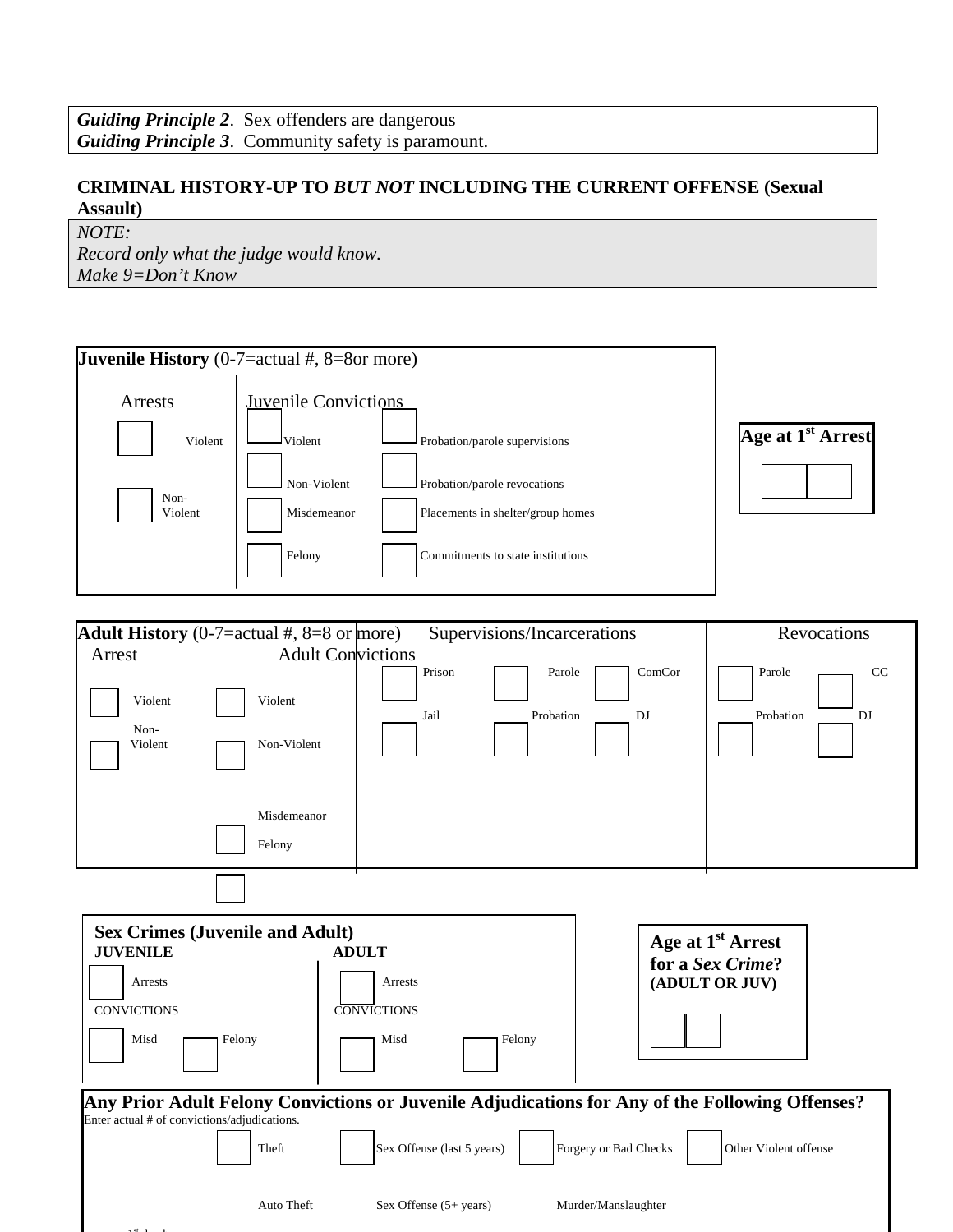#### **CRIMINAL HISTORY-UP TO** *BUT NOT* **INCLUDING THE CURRENT OFFENSE (Sexual Assault)**

*NOTE:* 

*Record only what the judge would know. Make 9=Don't Know* 

| <b>Juvenile History</b> (0-7=actual $#$ , 8=8or more)                                                                 |                                                                                                          |                                                                                                                                                                    |                                              |                                                                     |
|-----------------------------------------------------------------------------------------------------------------------|----------------------------------------------------------------------------------------------------------|--------------------------------------------------------------------------------------------------------------------------------------------------------------------|----------------------------------------------|---------------------------------------------------------------------|
| Arrests<br>Violent<br>Non-<br>Violent                                                                                 | <b>Juvenile Convictions</b><br>$\mathsf{\cup}_{\mathrm{Volent}}$<br>Non-Violent<br>Misdemeanor<br>Felony | Probation/parole supervisions<br>Probation/parole revocations<br>Placements in shelter/group homes<br>Commitments to state institutions                            |                                              | Age at 1 <sup>st</sup> Arrest                                       |
| <b>Adult History</b> (0-7=actual #, 8=8 or more)<br>Arrest<br>Violent<br>Non-<br>Violent                              | <b>Adult Convictions</b><br>Violent<br>Non-Violent<br>Misdemeanor<br>Felony                              | Supervisions/Incarcerations<br>Prison<br>Parole<br>Jail<br>Probation                                                                                               | ComCor<br>DJ                                 | Revocations<br>CC<br>Parole<br>Probation<br>DJ                      |
| <b>Sex Crimes (Juvenile and Adult)</b><br><b>JUVENILE</b><br>Arrests<br><b>CONVICTIONS</b><br>Misd<br>$\Gamma$ Felony |                                                                                                          | <b>ADULT</b><br>Arrests<br><b>CONVICTIONS</b><br>Misd<br>Felony<br>Any Prior Adult Felony Convictions or Juvenile Adjudications for Any of the Following Offenses? |                                              | Age at 1 <sup>st</sup> Arrest<br>for a Sex Crime?<br>(ADULT OR JUV) |
| Enter actual # of convictions/adjudications.                                                                          | Theft<br>Auto Theft                                                                                      | Sex Offense (last 5 years)<br>Sex Offense (5+ years)                                                                                                               | Forgery or Bad Checks<br>Murder/Manslaughter | Other Violent offense                                               |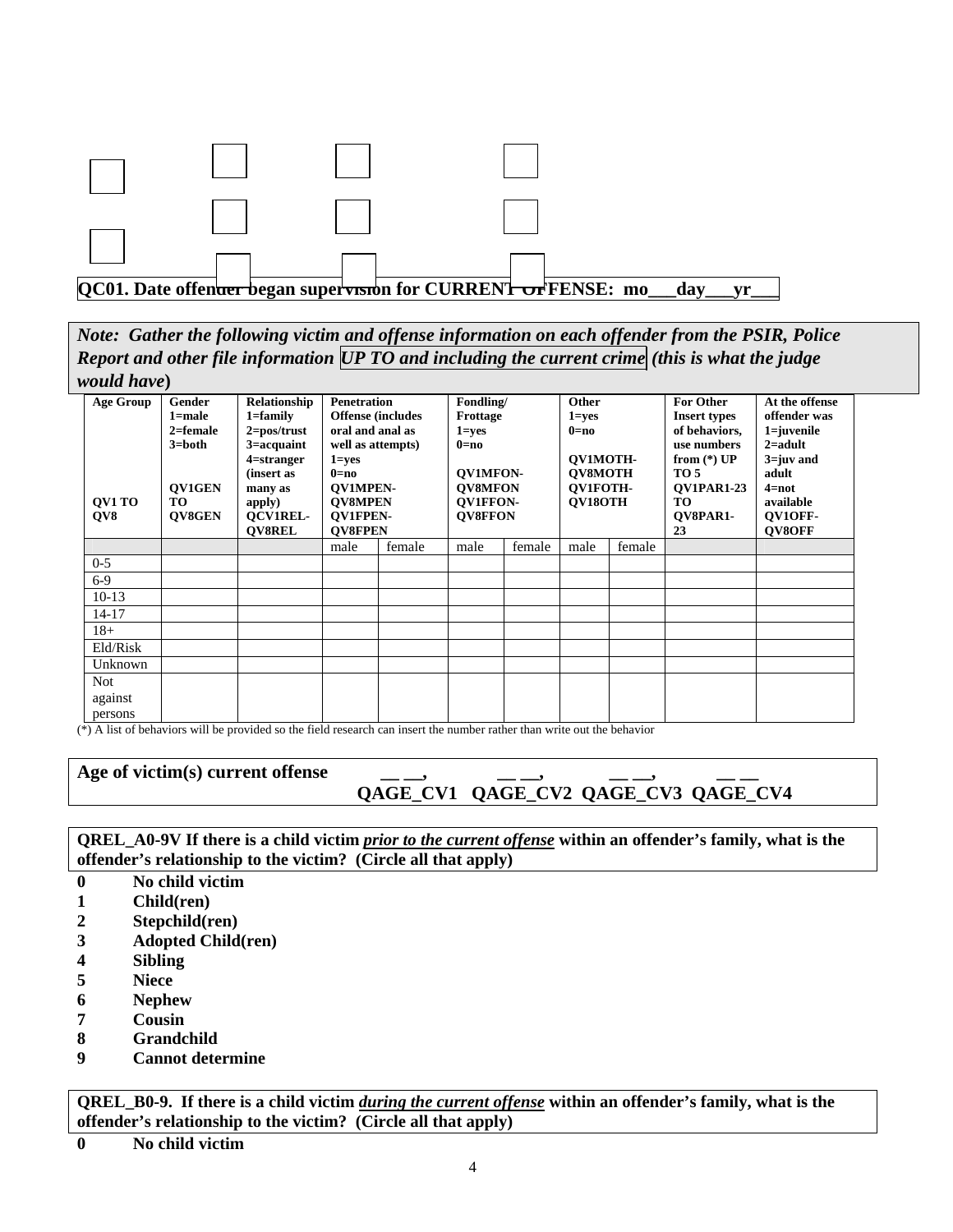

*Note: Gather the following victim and offense information on each offender from the PSIR, Police Report and other file information UP TO and including the current crime (this is what the judge would have***)** 

| <b>Age Group</b><br><b>OV1 TO</b><br>QV8 | Gender<br>$1 = male$<br>$2 =$ female<br>$3 = both$<br><b>OV1GEN</b><br>TO.<br>QV8GEN | Relationship<br>$1 = family$<br>$2 = pos/trust$<br>$3 = \text{acquaint}$<br>$4$ =stranger<br>(insert as<br>many as<br>apply)<br><b>OCV1REL-</b><br><b>OV8REL</b> | <b>Penetration</b><br>oral and anal as<br>well as attempts)<br>$1 = yes$<br>$0=$ no<br><b>OV1MPEN-</b><br><b>OV8MPEN</b><br><b>OV1FPEN-</b><br><b>OV8FPEN</b> | <b>Offense</b> (includes | Fondling/<br>Frottage<br>$1 = yes$<br>$0=no$<br><b>QV1MFON-</b><br><b>OV8MFON</b><br><b>OV1FFON-</b><br><b>OV8FFON</b> |        | Other<br>$1 = yes$<br>$0=no$<br>OV1MOTH-<br>QV8MOTH<br>OV1FOTH-<br>OV18OTH |        | <b>For Other</b><br><b>Insert types</b><br>of behaviors,<br>use numbers<br>from $(*)$ UP<br><b>TO 5</b><br><b>OV1PAR1-23</b><br>TO.<br>OV8PAR1-<br>23 | At the offense<br>offender was<br>$1 = juvenile$<br>$2 = adult$<br>$3 = juv$ and<br>adult<br>$4=$ not<br>available<br><b>OV1OFF-</b><br><b>OV8OFF</b> |
|------------------------------------------|--------------------------------------------------------------------------------------|------------------------------------------------------------------------------------------------------------------------------------------------------------------|---------------------------------------------------------------------------------------------------------------------------------------------------------------|--------------------------|------------------------------------------------------------------------------------------------------------------------|--------|----------------------------------------------------------------------------|--------|-------------------------------------------------------------------------------------------------------------------------------------------------------|-------------------------------------------------------------------------------------------------------------------------------------------------------|
|                                          |                                                                                      |                                                                                                                                                                  | male                                                                                                                                                          | female                   | male                                                                                                                   | female | male                                                                       | female |                                                                                                                                                       |                                                                                                                                                       |
| $0 - 5$                                  |                                                                                      |                                                                                                                                                                  |                                                                                                                                                               |                          |                                                                                                                        |        |                                                                            |        |                                                                                                                                                       |                                                                                                                                                       |
| $6-9$                                    |                                                                                      |                                                                                                                                                                  |                                                                                                                                                               |                          |                                                                                                                        |        |                                                                            |        |                                                                                                                                                       |                                                                                                                                                       |
| $10-13$                                  |                                                                                      |                                                                                                                                                                  |                                                                                                                                                               |                          |                                                                                                                        |        |                                                                            |        |                                                                                                                                                       |                                                                                                                                                       |
| 14-17                                    |                                                                                      |                                                                                                                                                                  |                                                                                                                                                               |                          |                                                                                                                        |        |                                                                            |        |                                                                                                                                                       |                                                                                                                                                       |
| $18+$                                    |                                                                                      |                                                                                                                                                                  |                                                                                                                                                               |                          |                                                                                                                        |        |                                                                            |        |                                                                                                                                                       |                                                                                                                                                       |
| Eld/Risk                                 |                                                                                      |                                                                                                                                                                  |                                                                                                                                                               |                          |                                                                                                                        |        |                                                                            |        |                                                                                                                                                       |                                                                                                                                                       |
| Unknown                                  |                                                                                      |                                                                                                                                                                  |                                                                                                                                                               |                          |                                                                                                                        |        |                                                                            |        |                                                                                                                                                       |                                                                                                                                                       |
| Not<br>against                           |                                                                                      |                                                                                                                                                                  |                                                                                                                                                               |                          |                                                                                                                        |        |                                                                            |        |                                                                                                                                                       |                                                                                                                                                       |
| persons                                  |                                                                                      |                                                                                                                                                                  |                                                                                                                                                               |                          |                                                                                                                        |        |                                                                            |        |                                                                                                                                                       |                                                                                                                                                       |

(\*) A list of behaviors will be provided so the field research can insert the number rather than write out the behavior

## Age of victim(s) current offense

# **QAGE\_CV1 QAGE\_CV2 QAGE\_CV3 QAGE\_CV4**

**QREL\_A0-9V If there is a child victim** *prior to the current offense* **within an offender's family, what is the offender's relationship to the victim? (Circle all that apply)** 

- **0 No child victim**
- **1 Child(ren)**
- **2 Stepchild(ren)**
- **3 Adopted Child(ren)**
- **4 Sibling**
- **5 Niece**
- **6 Nephew**
- **7 Cousin**
- **8 Grandchild**
- **9 Cannot determine**

**QREL\_B0-9. If there is a child victim** *during the current offense* **within an offender's family, what is the offender's relationship to the victim? (Circle all that apply)** 

**0 No child victim**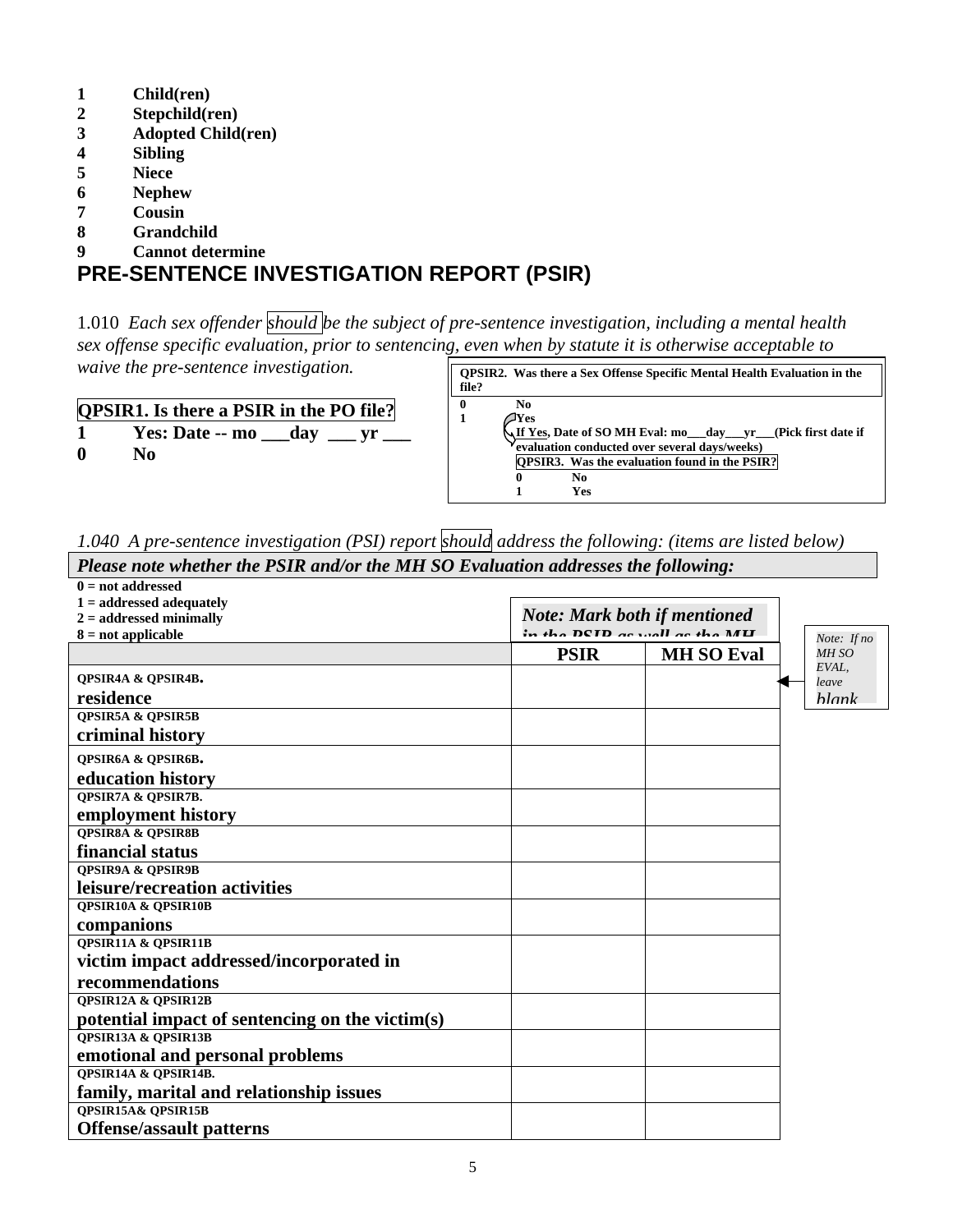- **1 Child(ren)**
- **2 Stepchild(ren)**
- **3 Adopted Child(ren)**
- **4 Sibling**
- **5 Niece**
- **6 Nephew**
- **7 Cousin**
- **8 Grandchild**
- **9 Cannot determine**

### **PRE-SENTENCE INVESTIGATION REPORT (PSIR)**

1.010 *Each sex offender should be the subject of pre-sentence investigation, including a mental health sex offense specific evaluation, prior to sentencing, even when by statute it is otherwise acceptable to waive the pre-sentence investigation.*

| <b>QPSIR1.</b> Is there a PSIR in the PO file? |  |
|------------------------------------------------|--|

|  | $\alpha$ sint. Is there a I sin in the FO file. |  |  |
|--|-------------------------------------------------|--|--|
|  | Yes: Date -- mo day                             |  |  |

**0 No**

| file?                    | <b>OPSIR2.</b> Was there a Sex Offense Specific Mental Health Evaluation in the                                                                                                                   |
|--------------------------|---------------------------------------------------------------------------------------------------------------------------------------------------------------------------------------------------|
| $\mathbf{0}$<br>No       |                                                                                                                                                                                                   |
| $\mathbf{1}$<br>Yes<br>0 | <b><u>\If Yes,</u> Date of SO MH Eval: mo__day__yr__(Pick first date if</b><br>evaluation conducted over several days/weeks)<br><b>QPSIR3.</b> Was the evaluation found in the PSIR?<br>No<br>Yes |

*1.040 A pre-sentence investigation (PSI) report should address the following: (items are listed below) Please note whether the PSIR and/or the MH SO Evaluation addresses the following:* 

| $0 = not addressed$                             |                                                                      |                   |                |
|-------------------------------------------------|----------------------------------------------------------------------|-------------------|----------------|
| $1 =$ addressed adequately                      |                                                                      |                   |                |
| $2 =$ addressed minimally                       | <b>Note: Mark both if mentioned</b><br>in the DCID as well as the MH |                   |                |
| $8 = not applicable$                            |                                                                      |                   | Note: If no    |
|                                                 | <b>PSIR</b>                                                          | <b>MH SO Eval</b> | MH SO<br>EVAL, |
| <b>QPSIR4A &amp; QPSIR4B.</b>                   |                                                                      |                   | leave          |
| residence                                       |                                                                      |                   | hlank          |
| <b>OPSIR5A &amp; OPSIR5B</b>                    |                                                                      |                   |                |
| criminal history                                |                                                                      |                   |                |
| QPSIR6A & QPSIR6B.                              |                                                                      |                   |                |
| education history                               |                                                                      |                   |                |
| <b>QPSIR7A &amp; QPSIR7B.</b>                   |                                                                      |                   |                |
| employment history                              |                                                                      |                   |                |
| <b>QPSIR8A &amp; QPSIR8B</b>                    |                                                                      |                   |                |
| financial status                                |                                                                      |                   |                |
| <b>QPSIR9A &amp; QPSIR9B</b>                    |                                                                      |                   |                |
| leisure/recreation activities                   |                                                                      |                   |                |
| <b>QPSIR10A &amp; QPSIR10B</b>                  |                                                                      |                   |                |
| companions                                      |                                                                      |                   |                |
| <b>QPSIR11A &amp; QPSIR11B</b>                  |                                                                      |                   |                |
| victim impact addressed/incorporated in         |                                                                      |                   |                |
| recommendations                                 |                                                                      |                   |                |
| <b>QPSIR12A &amp; QPSIR12B</b>                  |                                                                      |                   |                |
| potential impact of sentencing on the victim(s) |                                                                      |                   |                |
| <b>QPSIR13A &amp; QPSIR13B</b>                  |                                                                      |                   |                |
| emotional and personal problems                 |                                                                      |                   |                |
| QPSIR14A & QPSIR14B.                            |                                                                      |                   |                |
| family, marital and relationship issues         |                                                                      |                   |                |
| <b>QPSIR15A&amp; QPSIR15B</b>                   |                                                                      |                   |                |
| <b>Offense/assault patterns</b>                 |                                                                      |                   |                |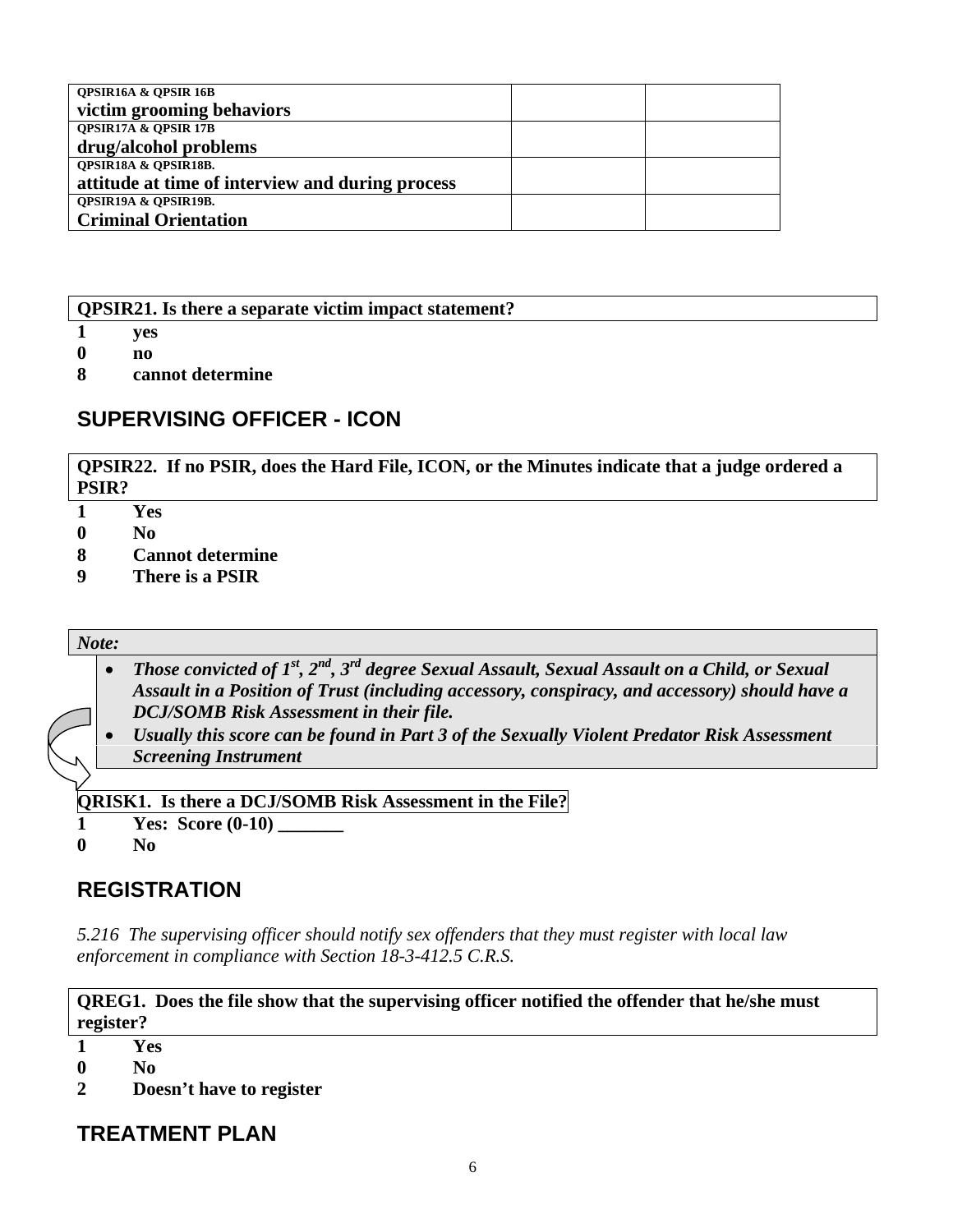| <b>QPSIR16A &amp; QPSIR16B</b>                   |  |
|--------------------------------------------------|--|
| victim grooming behaviors                        |  |
| <b>QPSIR17A &amp; QPSIR17B</b>                   |  |
| drug/alcohol problems                            |  |
| <b>OPSIR18A &amp; OPSIR18B.</b>                  |  |
| attitude at time of interview and during process |  |
| <b>QPSIR19A &amp; QPSIR19B.</b>                  |  |
| <b>Criminal Orientation</b>                      |  |

**QPSIR21. Is there a separate victim impact statement?** 

- **1 yes**
- **0 no**
- **8 cannot determine**

### **SUPERVISING OFFICER - ICON**

**QPSIR22. If no PSIR, does the Hard File, ICON, or the Minutes indicate that a judge ordered a PSIR?** 

- **1 Yes**
- **0 No**
- **8 Cannot determine**
- **9 There is a PSIR**

#### *Note:*

- *Those convicted of 1<sup>st</sup>, 2<sup>nd</sup>, 3<sup>rd</sup> degree Sexual Assault, Sexual Assault on a Child, or Sexual Assault in a Position of Trust (including accessory, conspiracy, and accessory) should have a DCJ/SOMB Risk Assessment in their file.*
- *Usually this score can be found in Part 3 of the Sexually Violent Predator Risk Assessment Screening Instrument*

**QRISK1. Is there a DCJ/SOMB Risk Assessment in the File?**

- **1 Yes:** Score (0-10)
- **0 No**

### **REGISTRATION**

*5.216 The supervising officer should notify sex offenders that they must register with local law enforcement in compliance with Section 18-3-412.5 C.R.S.* 

**QREG1. Does the file show that the supervising officer notified the offender that he/she must register?** 

- **1 Yes**
- **0 No**

**2 Doesn't have to register** 

**TREATMENT PLAN**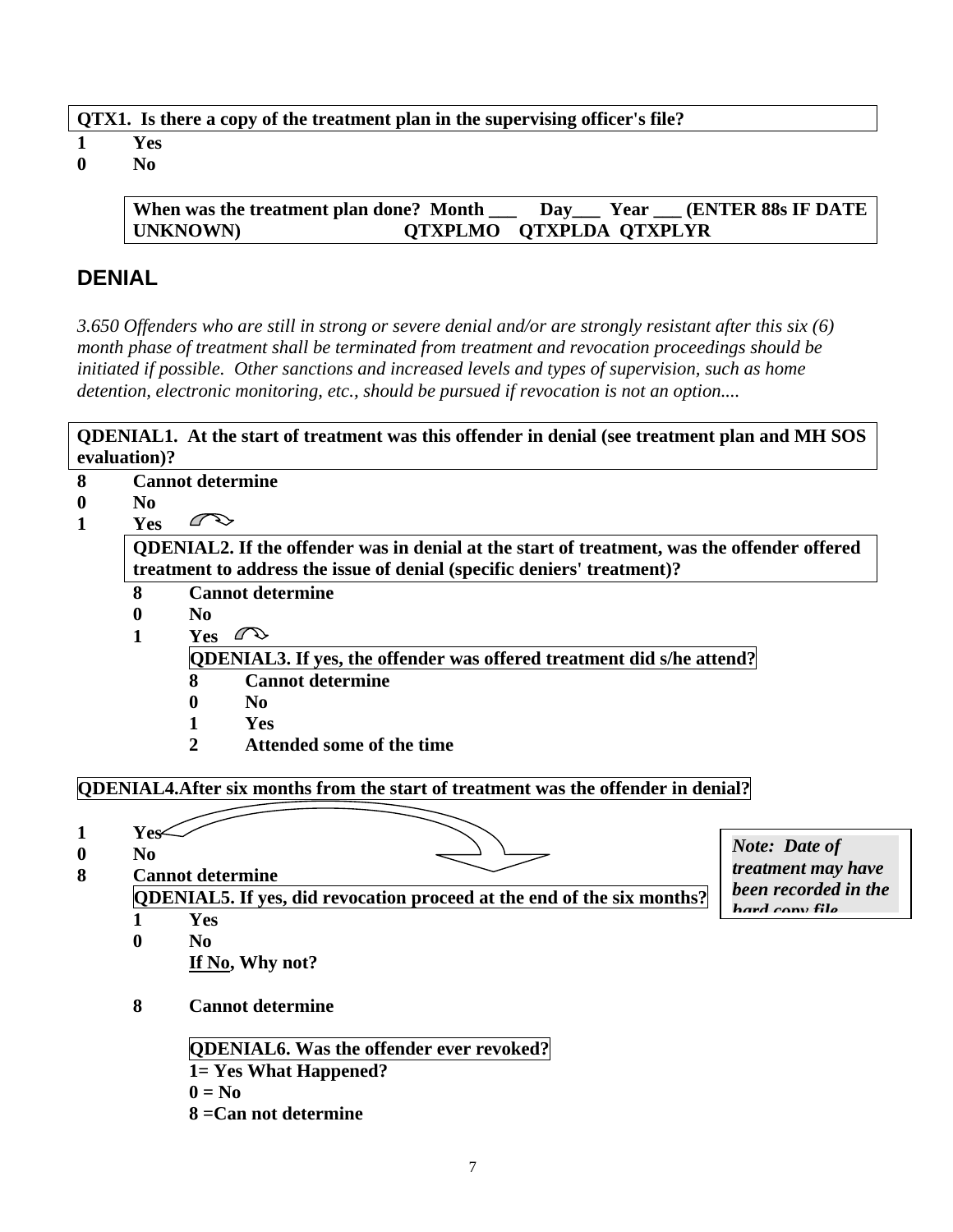| QTX1. Is there a copy of the treatment plan in the supervising officer's file? |  |  |
|--------------------------------------------------------------------------------|--|--|
|                                                                                |  |  |

- **1 Yes**
- **0 No**

**When was the treatment plan done? Month \_\_\_ Day\_\_\_ Year \_\_\_ (ENTER 88s IF DATE UNKNOWN) QTXPLMO QTXPLDA QTXPLYR** 

### **DENIAL**

*3.650 Offenders who are still in strong or severe denial and/or are strongly resistant after this six (6) month phase of treatment shall be terminated from treatment and revocation proceedings should be initiated if possible. Other sanctions and increased levels and types of supervision, such as home detention, electronic monitoring, etc., should be pursued if revocation is not an option....* 

**QDENIAL1. At the start of treatment was this offender in denial (see treatment plan and MH SOS evaluation)?** 

- **8 Cannot determine**
- **0 No**
- $\curvearrowright$ **1 Yes**

**QDENIAL2. If the offender was in denial at the start of treatment, was the offender offered treatment to address the issue of denial (specific deniers' treatment)?** 

- **8 Cannot determine**
- **0 No**
- 1 Yes  $\curvearrowright$

**QDENIAL3. If yes, the offender was offered treatment did s/he attend?**

- **8 Cannot determine**
- **0 No**
- **1 Yes**
- **2 Attended some of the time**

### **QDENIAL4.After six months from the start of treatment was the offender in denial?**

- 1 Yes< **0 No 8 Cannot determine QDENIAL5. If yes, did revocation proceed at the end of the six months? 1 Yes 0 No If No, Why not? 8 Cannot determine QDENIAL6. Was the offender ever revoked? 1= Yes What Happened?** 
	-
	- $0 = No$
	- **8 =Can not determine**

*Note: Date of treatment may have been recorded in the hard copy file*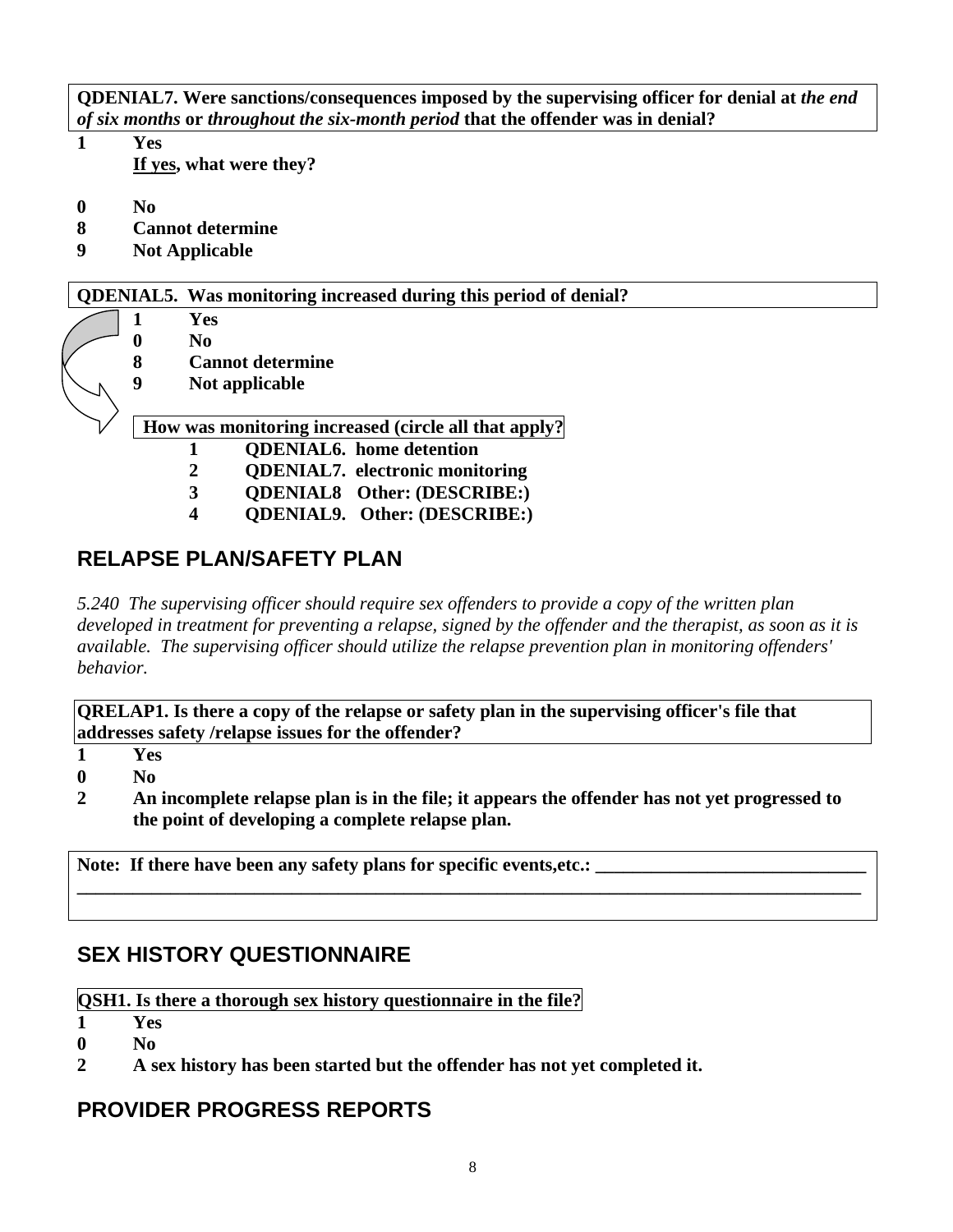**QDENIAL7. Were sanctions/consequences imposed by the supervising officer for denial at** *the end of six months* **or** *throughout the six-month period* **that the offender was in denial?**

- **1 Yes If yes, what were they?**
- **0 No**
- **8 Cannot determine**
- **9 Not Applicable**

#### **QDENIAL5. Was monitoring increased during this period of denial?**

- **1 Yes**
- **0 No**
- **8 Cannot determine**
- **9 Not applicable**

### **How was monitoring increased (circle all that apply?**

- **1 QDENIAL6. home detention**
- **2 QDENIAL7. electronic monitoring**
- **3 QDENIAL8 Other: (DESCRIBE:)**
- **4 QDENIAL9. Other: (DESCRIBE:)**

## **RELAPSE PLAN/SAFETY PLAN**

*5.240 The supervising officer should require sex offenders to provide a copy of the written plan developed in treatment for preventing a relapse, signed by the offender and the therapist, as soon as it is available. The supervising officer should utilize the relapse prevention plan in monitoring offenders' behavior.*

**QRELAP1. Is there a copy of the relapse or safety plan in the supervising officer's file that addresses safety /relapse issues for the offender?** 

- **1 Yes**
- **0 No**
- **2 An incomplete relapse plan is in the file; it appears the offender has not yet progressed to the point of developing a complete relapse plan.**

**\_\_\_\_\_\_\_\_\_\_\_\_\_\_\_\_\_\_\_\_\_\_\_\_\_\_\_\_\_\_\_\_\_\_\_\_\_\_\_\_\_\_\_\_\_\_\_\_\_\_\_\_\_\_\_\_\_\_\_\_\_\_\_\_\_\_\_\_\_\_\_\_\_\_\_\_\_\_\_\_\_\_\_\_** 

Note: If there have been any safety plans for specific events, etc.:

## **SEX HISTORY QUESTIONNAIRE**

**QSH1. Is there a thorough sex history questionnaire in the file?**

**1 Yes** 

- **0 No**
- **2 A sex history has been started but the offender has not yet completed it.**

## **PROVIDER PROGRESS REPORTS**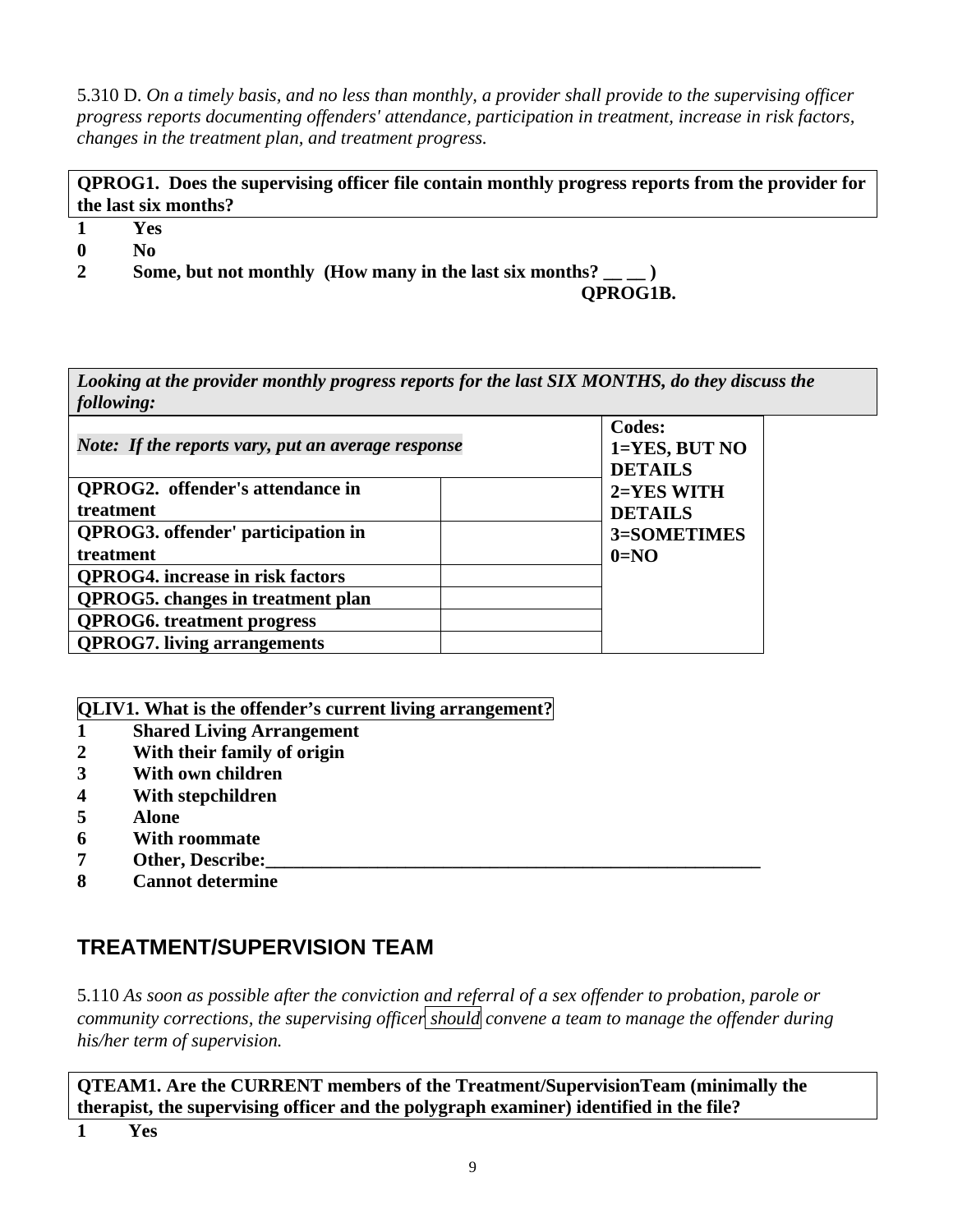5.310 D. *On a timely basis, and no less than monthly, a provider shall provide to the supervising officer progress reports documenting offenders' attendance, participation in treatment, increase in risk factors, changes in the treatment plan, and treatment progress.* 

**QPROG1. Does the supervising officer file contain monthly progress reports from the provider for the last six months?**

- **1 Yes**
- **0 No**
- 2 Some, but not monthly (How many in the last six months? \_\_ \_)

 **QPROG1B.** 

*Looking at the provider monthly progress reports for the last SIX MONTHS, do they discuss the following:* 

| Note: If the reports vary, put an average response | <b>Codes:</b><br>1=YES, BUT NO<br><b>DETAILS</b> |
|----------------------------------------------------|--------------------------------------------------|
| <b>QPROG2.</b> offender's attendance in            | 2=YES WITH                                       |
| treatment                                          | <b>DETAILS</b>                                   |
| <b>QPROG3.</b> offender' participation in          | 3=SOMETIMES                                      |
| treatment                                          | $0=NO$                                           |
| <b>OPROG4.</b> increase in risk factors            |                                                  |
| <b>QPROG5.</b> changes in treatment plan           |                                                  |
| <b>OPROG6.</b> treatment progress                  |                                                  |
| <b>QPROG7.</b> living arrangements                 |                                                  |

**QLIV1. What is the offender's current living arrangement?** 

- **1 Shared Living Arrangement**
- **2 With their family of origin**
- **3 With own children**
- **4 With stepchildren**
- **5 Alone**
- **6 With roommate**
- **7** Other, Describe:
- **8 Cannot determine**

## **TREATMENT/SUPERVISION TEAM**

5.110 *As soon as possible after the conviction and referral of a sex offender to probation, parole or community corrections, the supervising officer should convene a team to manage the offender during his/her term of supervision.* 

**QTEAM1. Are the CURRENT members of the Treatment/SupervisionTeam (minimally the therapist, the supervising officer and the polygraph examiner) identified in the file?**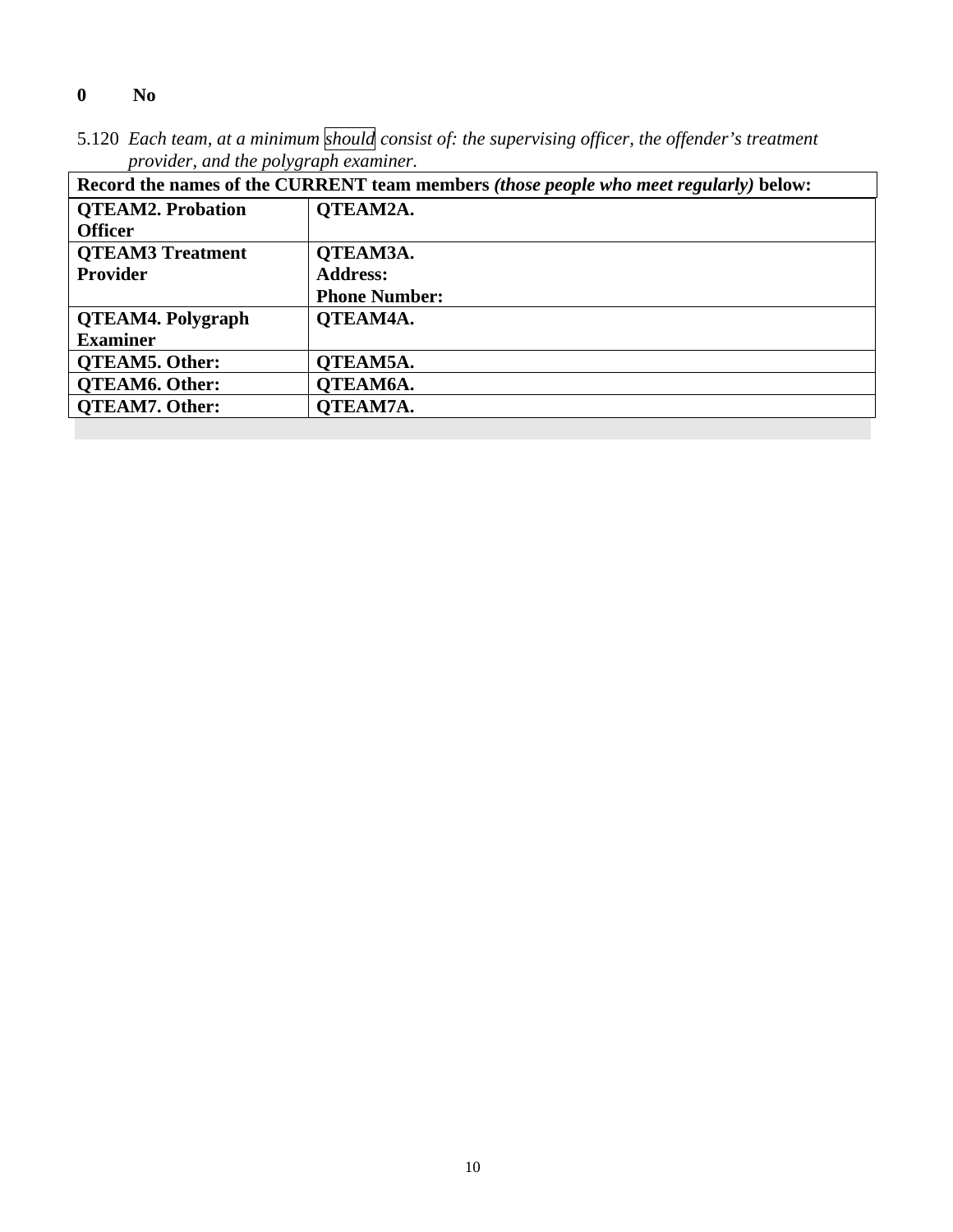### **0 No**

5.120 *Each team, at a minimum should consist of: the supervising officer, the offender's treatment provider, and the polygraph examiner.*

| Record the names of the CURRENT team members <i>(those people who meet regularly)</i> below: |                      |  |  |
|----------------------------------------------------------------------------------------------|----------------------|--|--|
| <b>OTEAM2. Probation</b>                                                                     | <b>OTEAM2A.</b>      |  |  |
| <b>Officer</b>                                                                               |                      |  |  |
| <b>OTEAM3 Treatment</b>                                                                      | QTEAM3A.             |  |  |
| <b>Provider</b>                                                                              | <b>Address:</b>      |  |  |
|                                                                                              | <b>Phone Number:</b> |  |  |
| <b>QTEAM4. Polygraph</b>                                                                     | QTEAM4A.             |  |  |
| <b>Examiner</b>                                                                              |                      |  |  |
| <b>QTEAM5. Other:</b>                                                                        | QTEAM5A.             |  |  |
| <b>QTEAM6. Other:</b>                                                                        | OTEAM6A.             |  |  |
| <b>OTEAM7. Other:</b>                                                                        | OTEAM7A.             |  |  |
|                                                                                              |                      |  |  |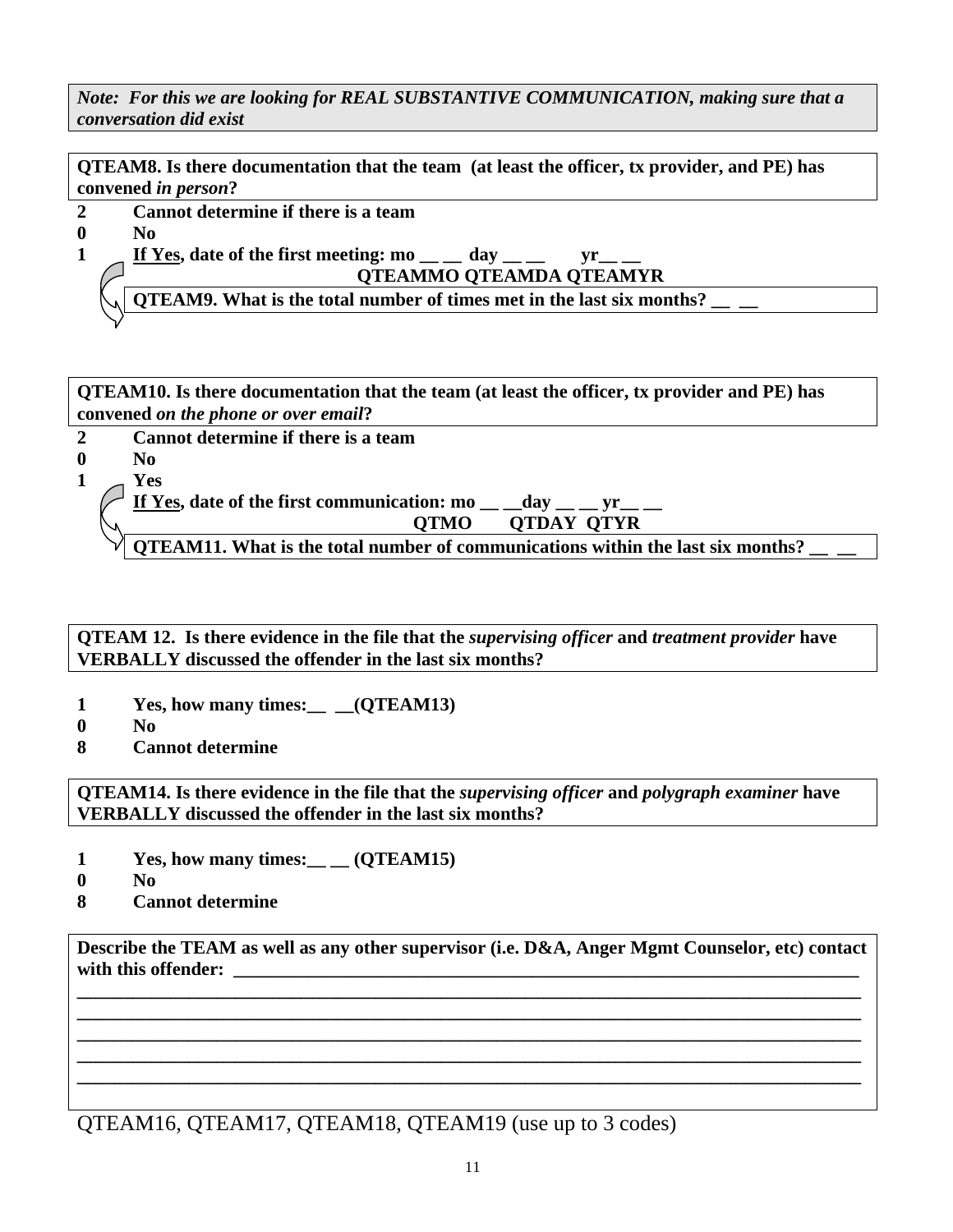*Note: For this we are looking for REAL SUBSTANTIVE COMMUNICATION, making sure that a conversation did exist* 

**QTEAM8. Is there documentation that the team (at least the officer, tx provider, and PE) has convened** *in person***?** 

- **2 Cannot determine if there is a team**
- **0 No**

1  $\int$  If Yes, date of the first meeting: mo \_\_ day \_\_ yr \_\_  **QTEAMMO QTEAMDA QTEAMYR** 

**QTEAM9.** What is the total number of times met in the last six months?

**QTEAM10. Is there documentation that the team (at least the officer, tx provider and PE) has convened** *on the phone or over email***?** 

**2 Cannot determine if there is a team 0 No 1 Yes**  If Yes, date of the first communication:  $\text{mo}$  \_\_ \_day \_\_ \_ yr \_\_ \_ **QTMO QTDAY QTYR QTEAM11.** What is the total number of communications within the last six months?

**QTEAM 12. Is there evidence in the file that the** *supervising officer* **and** *treatment provider* **have VERBALLY discussed the offender in the last six months?** 

- 1 Yes, how many times: *(QTEAM13)*
- **0 No**
- **8 Cannot determine**

**QTEAM14. Is there evidence in the file that the** *supervising officer* **and** *polygraph examiner* **have VERBALLY discussed the offender in the last six months?**

- 1 Yes, how many times: <u>\_\_</u> (QTEAM15)
- **0 No**
- **8 Cannot determine**

**Describe the TEAM as well as any other supervisor (i.e. D&A, Anger Mgmt Counselor, etc) contact**  with this offender:

**\_\_\_\_\_\_\_\_\_\_\_\_\_\_\_\_\_\_\_\_\_\_\_\_\_\_\_\_\_\_\_\_\_\_\_\_\_\_\_\_\_\_\_\_\_\_\_\_\_\_\_\_\_\_\_\_\_\_\_\_\_\_\_\_\_\_\_\_\_\_\_\_\_\_\_\_\_\_\_\_\_\_\_\_ \_\_\_\_\_\_\_\_\_\_\_\_\_\_\_\_\_\_\_\_\_\_\_\_\_\_\_\_\_\_\_\_\_\_\_\_\_\_\_\_\_\_\_\_\_\_\_\_\_\_\_\_\_\_\_\_\_\_\_\_\_\_\_\_\_\_\_\_\_\_\_\_\_\_\_\_\_\_\_\_\_\_\_\_ \_\_\_\_\_\_\_\_\_\_\_\_\_\_\_\_\_\_\_\_\_\_\_\_\_\_\_\_\_\_\_\_\_\_\_\_\_\_\_\_\_\_\_\_\_\_\_\_\_\_\_\_\_\_\_\_\_\_\_\_\_\_\_\_\_\_\_\_\_\_\_\_\_\_\_\_\_\_\_\_\_\_\_\_ \_\_\_\_\_\_\_\_\_\_\_\_\_\_\_\_\_\_\_\_\_\_\_\_\_\_\_\_\_\_\_\_\_\_\_\_\_\_\_\_\_\_\_\_\_\_\_\_\_\_\_\_\_\_\_\_\_\_\_\_\_\_\_\_\_\_\_\_\_\_\_\_\_\_\_\_\_\_\_\_\_\_\_\_ \_\_\_\_\_\_\_\_\_\_\_\_\_\_\_\_\_\_\_\_\_\_\_\_\_\_\_\_\_\_\_\_\_\_\_\_\_\_\_\_\_\_\_\_\_\_\_\_\_\_\_\_\_\_\_\_\_\_\_\_\_\_\_\_\_\_\_\_\_\_\_\_\_\_\_\_\_\_\_\_\_\_\_\_** 

QTEAM16, QTEAM17, QTEAM18, QTEAM19 (use up to 3 codes)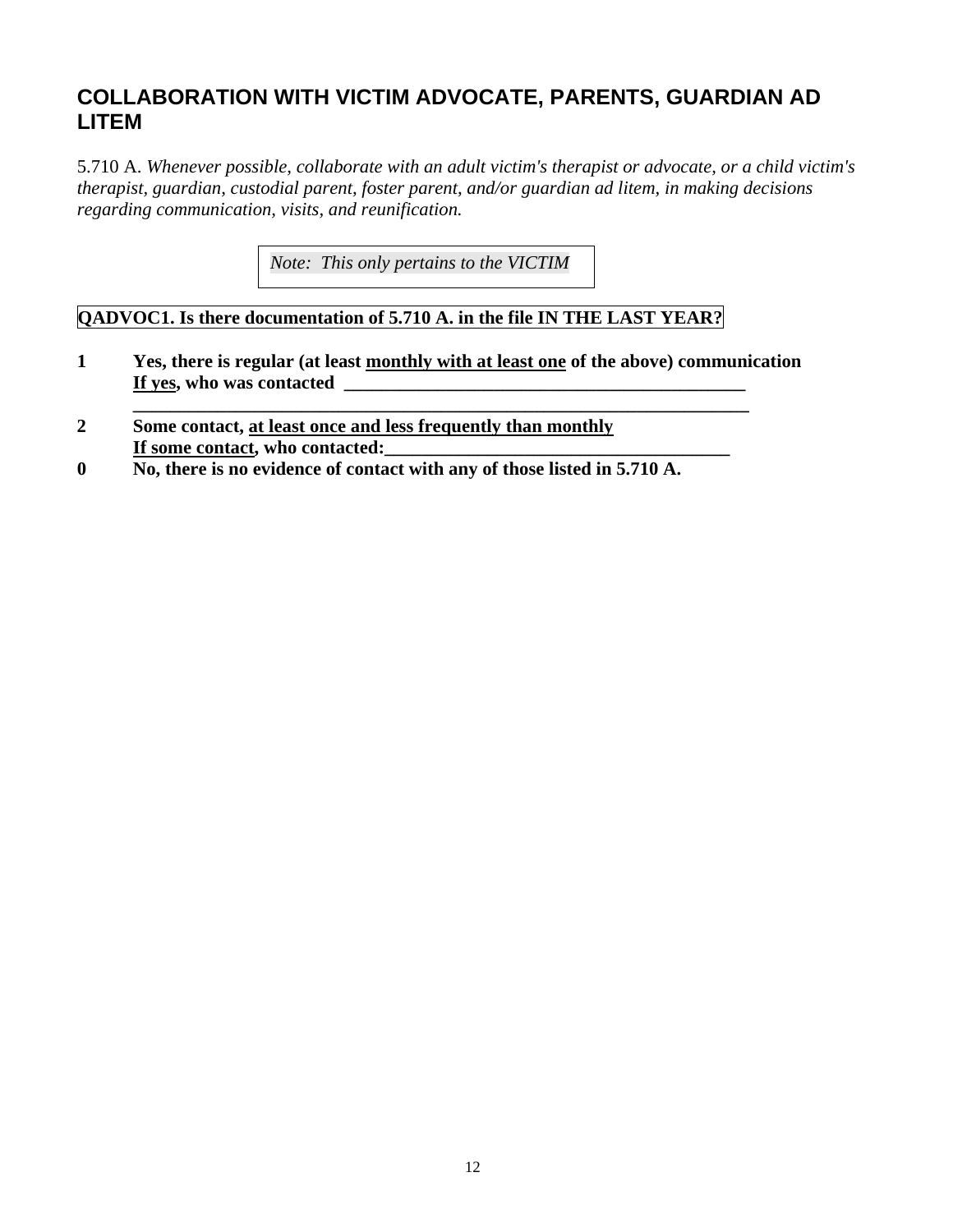### **COLLABORATION WITH VICTIM ADVOCATE, PARENTS, GUARDIAN AD LITEM**

5.710 A. *Whenever possible, collaborate with an adult victim's therapist or advocate, or a child victim's therapist, guardian, custodial parent, foster parent, and/or guardian ad litem, in making decisions regarding communication, visits, and reunification.* 

*Note: This only pertains to the VICTIM* 

### **QADVOC1. Is there documentation of 5.710 A. in the file IN THE LAST YEAR?**

 **\_\_\_\_\_\_\_\_\_\_\_\_\_\_\_\_\_\_\_\_\_\_\_\_\_\_\_\_\_\_\_\_\_\_\_\_\_\_\_\_\_\_\_\_\_\_\_\_\_\_\_\_\_\_\_\_\_\_\_\_\_\_\_\_\_\_** 

- **1 Yes, there is regular (at least monthly with at least one of the above) communication If yes, who was contacted \_\_\_\_\_\_\_\_\_\_\_\_\_\_\_\_\_\_\_\_\_\_\_\_\_\_\_\_\_\_\_\_\_\_\_\_\_\_\_\_\_\_\_**
- **2 Some contact, at least once and less frequently than monthly** If some contact, who contacted:
- **0 No, there is no evidence of contact with any of those listed in 5.710 A.**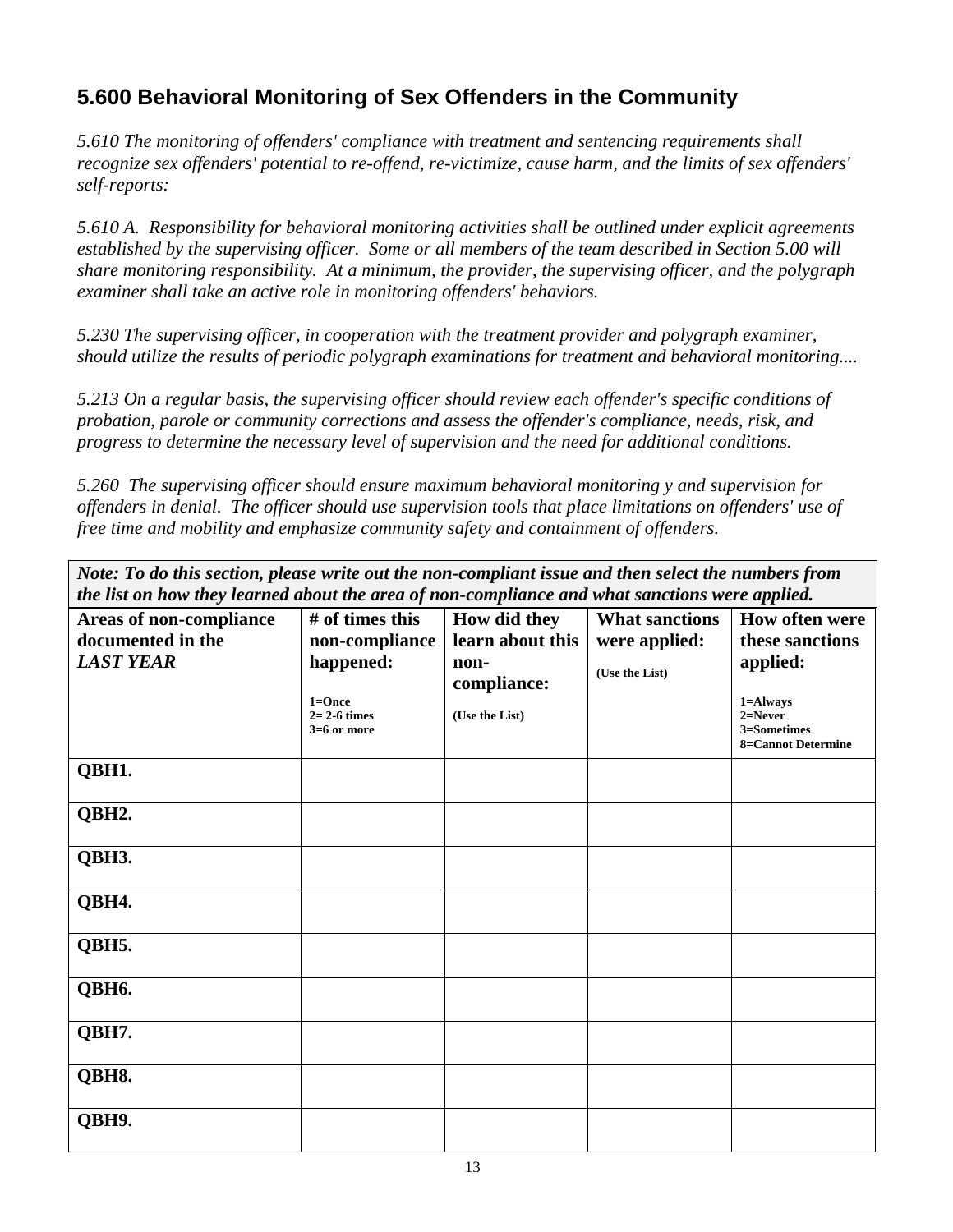## **5.600 Behavioral Monitoring of Sex Offenders in the Community**

*5.610 The monitoring of offenders' compliance with treatment and sentencing requirements shall recognize sex offenders' potential to re-offend, re-victimize, cause harm, and the limits of sex offenders' self-reports:* 

*5.610 A. Responsibility for behavioral monitoring activities shall be outlined under explicit agreements established by the supervising officer. Some or all members of the team described in Section 5.00 will share monitoring responsibility. At a minimum, the provider, the supervising officer, and the polygraph examiner shall take an active role in monitoring offenders' behaviors.* 

*5.230 The supervising officer, in cooperation with the treatment provider and polygraph examiner, should utilize the results of periodic polygraph examinations for treatment and behavioral monitoring....* 

*5.213 On a regular basis, the supervising officer should review each offender's specific conditions of probation, parole or community corrections and assess the offender's compliance, needs, risk, and progress to determine the necessary level of supervision and the need for additional conditions.* 

*5.260 The supervising officer should ensure maximum behavioral monitoring y and supervision for offenders in denial. The officer should use supervision tools that place limitations on offenders' use of free time and mobility and emphasize community safety and containment of offenders.* 

*Note: To do this section, please write out the non-compliant issue and then select the numbers from the list on how they learned about the area of non-compliance and what sanctions were applied.* **Areas of non-compliance documented in the**  *LAST YEAR*  **# of times this non-compliance happened: 1=Once 2= 2-6 times 3=6 or more How did they learn about this noncompliance: (Use the List) What sanctions were applied: (Use the List) How often were these sanctions applied: 1=Always 2=Never 3=Sometimes 8=Cannot Determine QBH1. QBH2. QBH3. QBH4. QBH5. QBH6. QBH7. QBH8. QBH9.**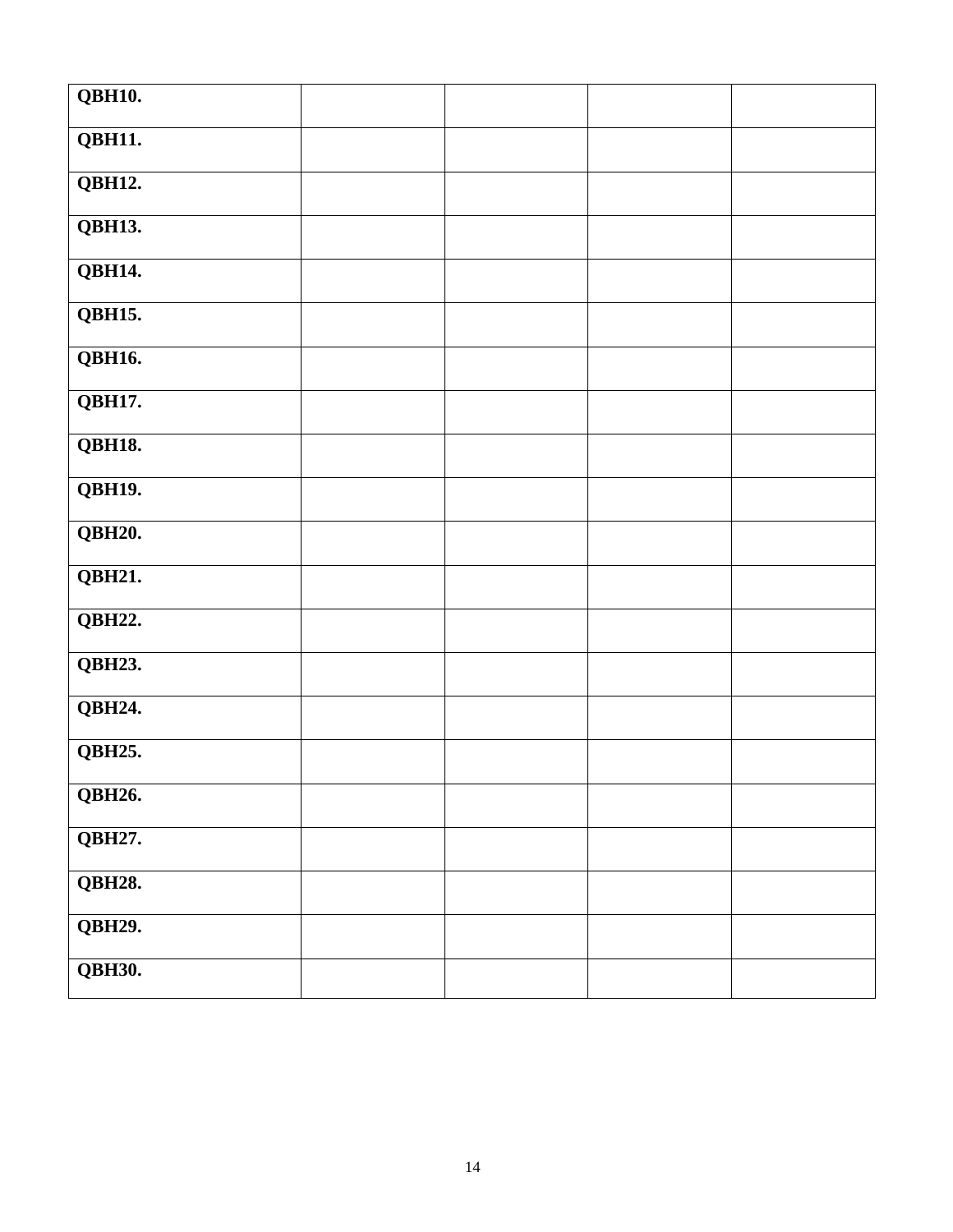| <b>QBH10.</b>        |  |  |
|----------------------|--|--|
| QBH11.               |  |  |
| <b>QBH12.</b>        |  |  |
| <b>QBH13.</b>        |  |  |
| <b>QBH14.</b>        |  |  |
| <b>QBH15.</b>        |  |  |
| <b>QBH16.</b>        |  |  |
| <b>QBH17.</b>        |  |  |
| <b>QBH18.</b>        |  |  |
| <b>QBH19.</b>        |  |  |
| <b>QBH20.</b>        |  |  |
| QBH21.               |  |  |
| <b>QBH22.</b>        |  |  |
| <b>QBH23.</b>        |  |  |
| QBH24.               |  |  |
| $Q\overline{BH25}$ . |  |  |
| <b>QBH26.</b>        |  |  |
| $Q\overline{BH27}$ . |  |  |
| <b>QBH28.</b>        |  |  |
| <b>QBH29.</b>        |  |  |
| <b>QBH30.</b>        |  |  |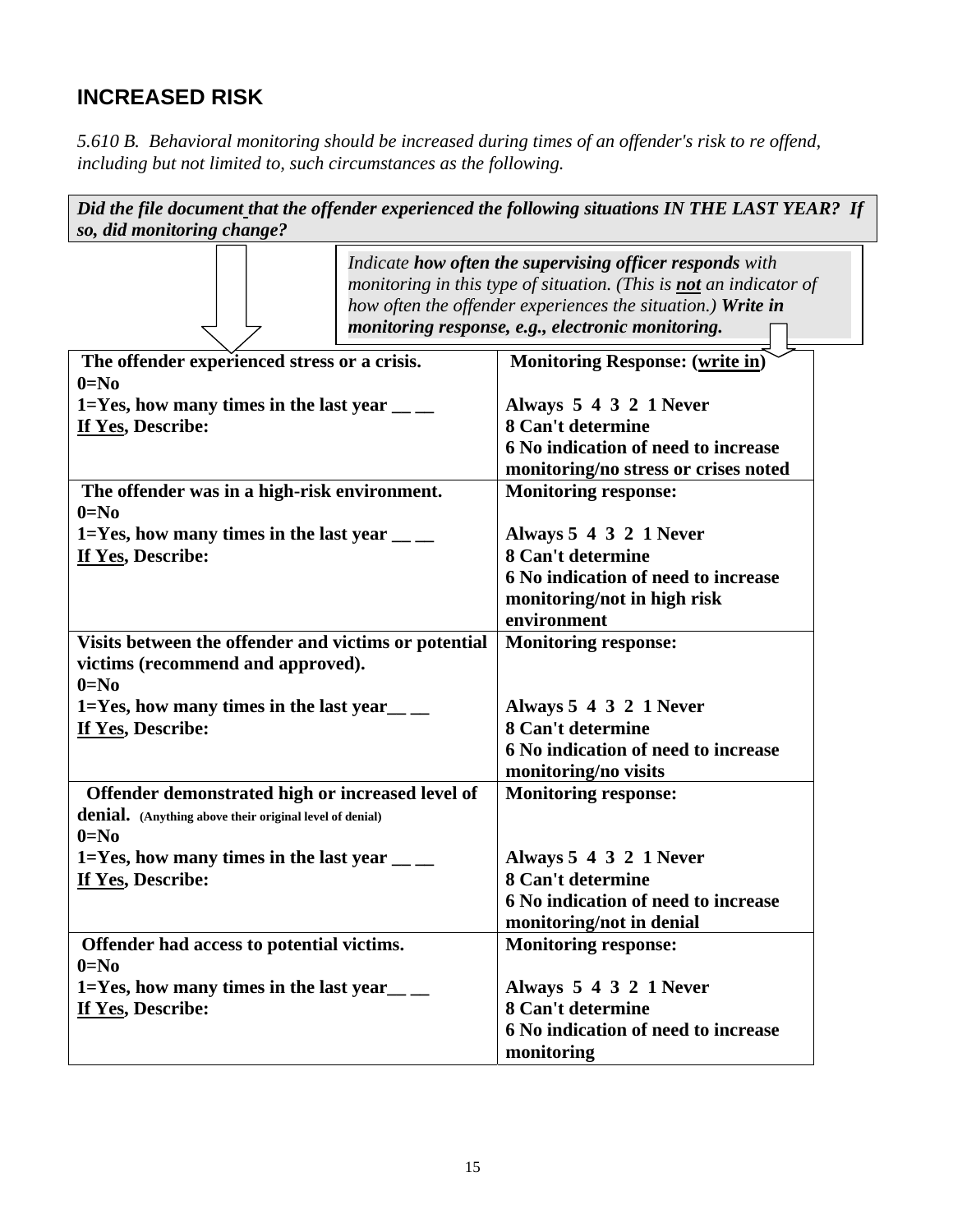## **INCREASED RISK**

*5.610 B. Behavioral monitoring should be increased during times of an offender's risk to re offend, including but not limited to, such circumstances as the following.* 

| Did the file document that the offender experienced the following situations IN THE LAST YEAR? If |                                                                                                                                                                                                                                                           |  |  |  |  |
|---------------------------------------------------------------------------------------------------|-----------------------------------------------------------------------------------------------------------------------------------------------------------------------------------------------------------------------------------------------------------|--|--|--|--|
| so, did monitoring change?                                                                        |                                                                                                                                                                                                                                                           |  |  |  |  |
|                                                                                                   | Indicate how often the supervising officer responds with<br>monitoring in this type of situation. (This is <b>not</b> an indicator of<br>how often the offender experiences the situation.) Write in<br>monitoring response, e.g., electronic monitoring. |  |  |  |  |
| The offender experienced stress or a crisis.                                                      | <b>Monitoring Response:</b> (write in)                                                                                                                                                                                                                    |  |  |  |  |
| $0=No$                                                                                            |                                                                                                                                                                                                                                                           |  |  |  |  |
| 1=Yes, how many times in the last year $\frac{1}{2}$                                              | Always 5 4 3 2 1 Never                                                                                                                                                                                                                                    |  |  |  |  |
| If Yes, Describe:                                                                                 | 8 Can't determine                                                                                                                                                                                                                                         |  |  |  |  |
|                                                                                                   | 6 No indication of need to increase                                                                                                                                                                                                                       |  |  |  |  |
|                                                                                                   | monitoring/no stress or crises noted                                                                                                                                                                                                                      |  |  |  |  |
| The offender was in a high-risk environment.                                                      | <b>Monitoring response:</b>                                                                                                                                                                                                                               |  |  |  |  |
| $0=No$                                                                                            |                                                                                                                                                                                                                                                           |  |  |  |  |
| 1=Yes, how many times in the last year $\frac{1}{1}$<br>If Yes, Describe:                         | Always 5 4 3 2 1 Never<br>8 Can't determine                                                                                                                                                                                                               |  |  |  |  |
|                                                                                                   | 6 No indication of need to increase                                                                                                                                                                                                                       |  |  |  |  |
|                                                                                                   | monitoring/not in high risk                                                                                                                                                                                                                               |  |  |  |  |
|                                                                                                   | environment                                                                                                                                                                                                                                               |  |  |  |  |
| Visits between the offender and victims or potential                                              | <b>Monitoring response:</b>                                                                                                                                                                                                                               |  |  |  |  |
| victims (recommend and approved).                                                                 |                                                                                                                                                                                                                                                           |  |  |  |  |
| $0 = No$                                                                                          |                                                                                                                                                                                                                                                           |  |  |  |  |
| $1 = Yes$ , how many times in the last year _____                                                 | Always 5 4 3 2 1 Never                                                                                                                                                                                                                                    |  |  |  |  |
| If Yes, Describe:                                                                                 | 8 Can't determine                                                                                                                                                                                                                                         |  |  |  |  |
|                                                                                                   | 6 No indication of need to increase                                                                                                                                                                                                                       |  |  |  |  |
|                                                                                                   | monitoring/no visits                                                                                                                                                                                                                                      |  |  |  |  |
| Offender demonstrated high or increased level of                                                  | <b>Monitoring response:</b>                                                                                                                                                                                                                               |  |  |  |  |
| denial. (Anything above their original level of denial)                                           |                                                                                                                                                                                                                                                           |  |  |  |  |
| $0 = No$                                                                                          |                                                                                                                                                                                                                                                           |  |  |  |  |
| 1=Yes, how many times in the last year $\frac{ }{ }$                                              | Always 5 4 3 2 1 Never                                                                                                                                                                                                                                    |  |  |  |  |
| If Yes, Describe:                                                                                 | 8 Can't determine                                                                                                                                                                                                                                         |  |  |  |  |
|                                                                                                   | 6 No indication of need to increase                                                                                                                                                                                                                       |  |  |  |  |
|                                                                                                   | monitoring/not in denial                                                                                                                                                                                                                                  |  |  |  |  |
| Offender had access to potential victims.<br>$0 = No$                                             | <b>Monitoring response:</b>                                                                                                                                                                                                                               |  |  |  |  |
| $1 = Yes$ , how many times in the last year _____                                                 | Always 5 4 3 2 1 Never                                                                                                                                                                                                                                    |  |  |  |  |
| If Yes, Describe:                                                                                 | 8 Can't determine                                                                                                                                                                                                                                         |  |  |  |  |
|                                                                                                   | 6 No indication of need to increase                                                                                                                                                                                                                       |  |  |  |  |
|                                                                                                   | monitoring                                                                                                                                                                                                                                                |  |  |  |  |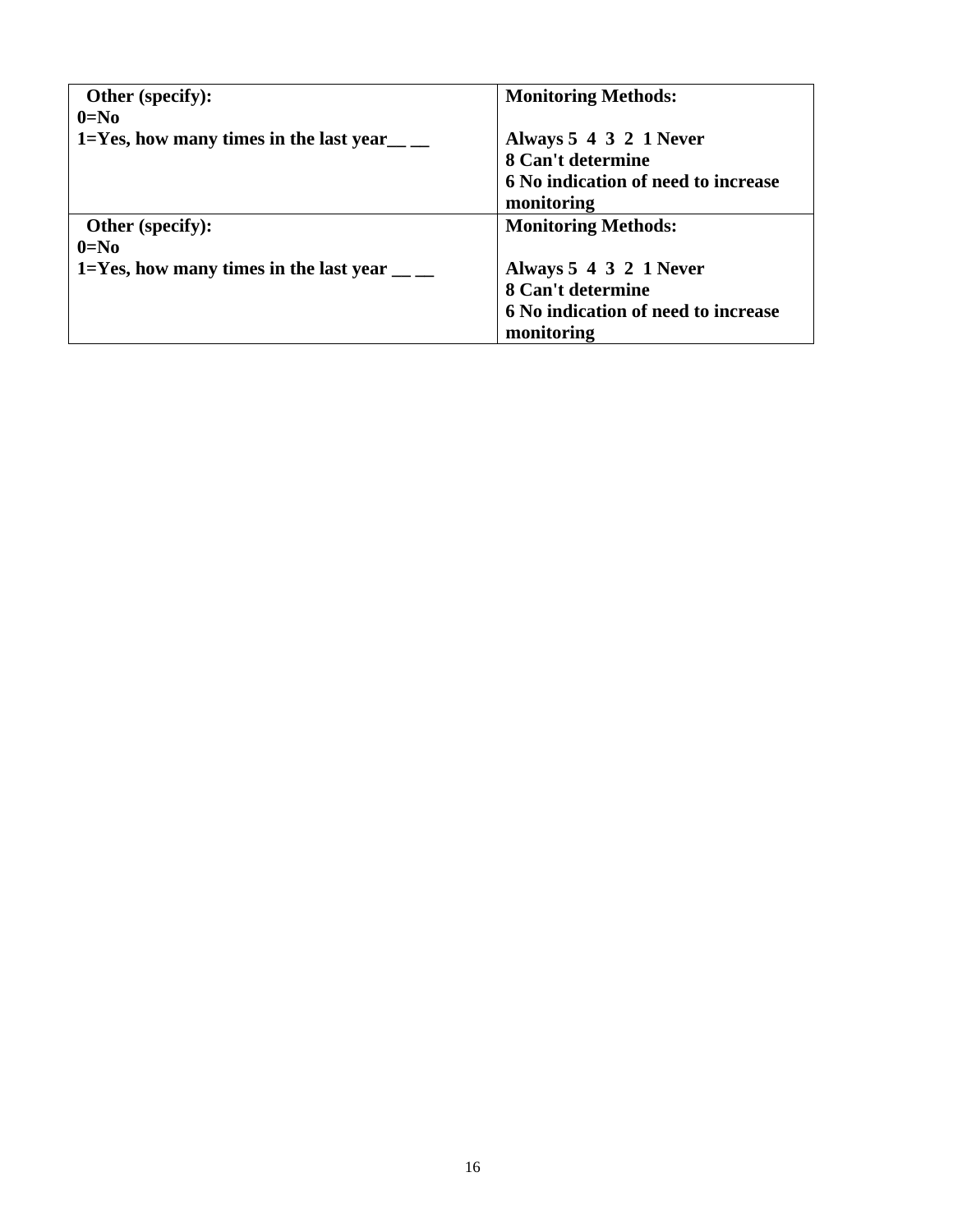| Other (specify):                                     | <b>Monitoring Methods:</b>          |
|------------------------------------------------------|-------------------------------------|
| $0=No$                                               |                                     |
| 1=Yes, how many times in the last year $\frac{1}{2}$ | Always 5 4 3 2 1 Never              |
|                                                      | 8 Can't determine                   |
|                                                      | 6 No indication of need to increase |
|                                                      | monitoring                          |
| <b>Other (specify):</b>                              | <b>Monitoring Methods:</b>          |
| $0=N0$                                               |                                     |
| 1=Yes, how many times in the last year $\frac{ }{ }$ | Always 5 4 3 2 1 Never              |
|                                                      | 8 Can't determine                   |
|                                                      | 6 No indication of need to increase |
|                                                      | monitoring                          |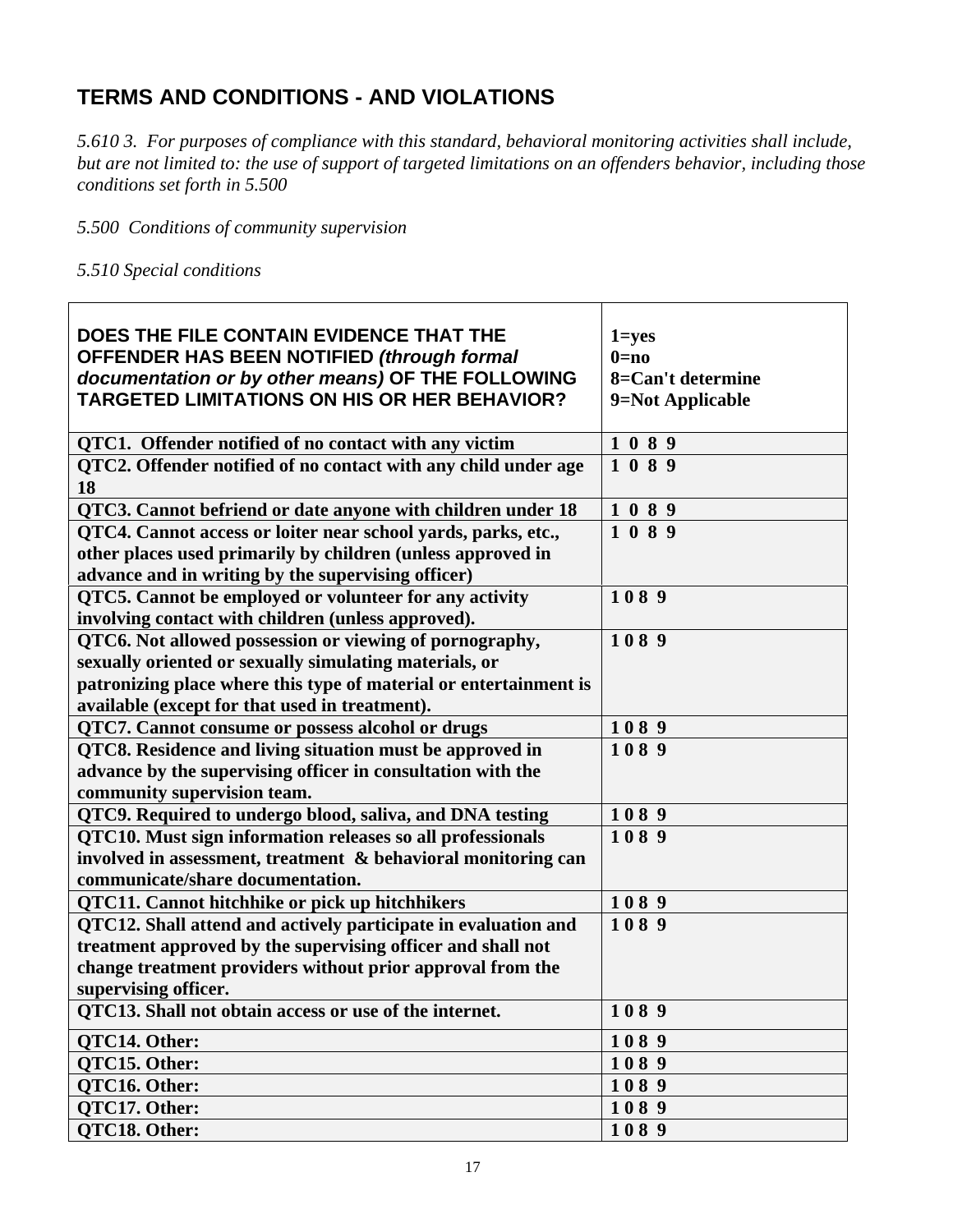## **TERMS AND CONDITIONS - AND VIOLATIONS**

*5.610 3. For purposes of compliance with this standard, behavioral monitoring activities shall include, but are not limited to: the use of support of targeted limitations on an offenders behavior, including those conditions set forth in 5.500* 

*5.500 Conditions of community supervision* 

*5.510 Special conditions* 

| DOES THE FILE CONTAIN EVIDENCE THAT THE                           | $1 = yes$         |
|-------------------------------------------------------------------|-------------------|
| OFFENDER HAS BEEN NOTIFIED (through formal                        | $0=no$            |
| documentation or by other means) OF THE FOLLOWING                 | 8=Can't determine |
| <b>TARGETED LIMITATIONS ON HIS OR HER BEHAVIOR?</b>               | 9=Not Applicable  |
|                                                                   |                   |
| QTC1. Offender notified of no contact with any victim             | 1089              |
| QTC2. Offender notified of no contact with any child under age    | 1089              |
| 18                                                                |                   |
| QTC3. Cannot befriend or date anyone with children under 18       | 1089              |
| QTC4. Cannot access or loiter near school yards, parks, etc.,     | 1089              |
| other places used primarily by children (unless approved in       |                   |
| advance and in writing by the supervising officer)                |                   |
| QTC5. Cannot be employed or volunteer for any activity            | 1089              |
| involving contact with children (unless approved).                |                   |
| QTC6. Not allowed possession or viewing of pornography,           | 1089              |
| sexually oriented or sexually simulating materials, or            |                   |
| patronizing place where this type of material or entertainment is |                   |
| available (except for that used in treatment).                    |                   |
| QTC7. Cannot consume or possess alcohol or drugs                  | 1089              |
| QTC8. Residence and living situation must be approved in          | 1089              |
| advance by the supervising officer in consultation with the       |                   |
| community supervision team.                                       |                   |
| QTC9. Required to undergo blood, saliva, and DNA testing          | 1089              |
| QTC10. Must sign information releases so all professionals        | 1089              |
| involved in assessment, treatment & behavioral monitoring can     |                   |
| communicate/share documentation.                                  |                   |
| <b>QTC11. Cannot hitchhike or pick up hitchhikers</b>             | 1089              |
| QTC12. Shall attend and actively participate in evaluation and    | 1089              |
| treatment approved by the supervising officer and shall not       |                   |
| change treatment providers without prior approval from the        |                   |
| supervising officer.                                              |                   |
| QTC13. Shall not obtain access or use of the internet.            | 1089              |
| QTC14. Other:                                                     | 1089              |
| <b>OTC15. Other:</b>                                              | 1089              |
| <b>OTC16. Other:</b>                                              | 1089              |
| QTC17. Other:                                                     | 1089              |
| QTC18. Other:                                                     | 1089              |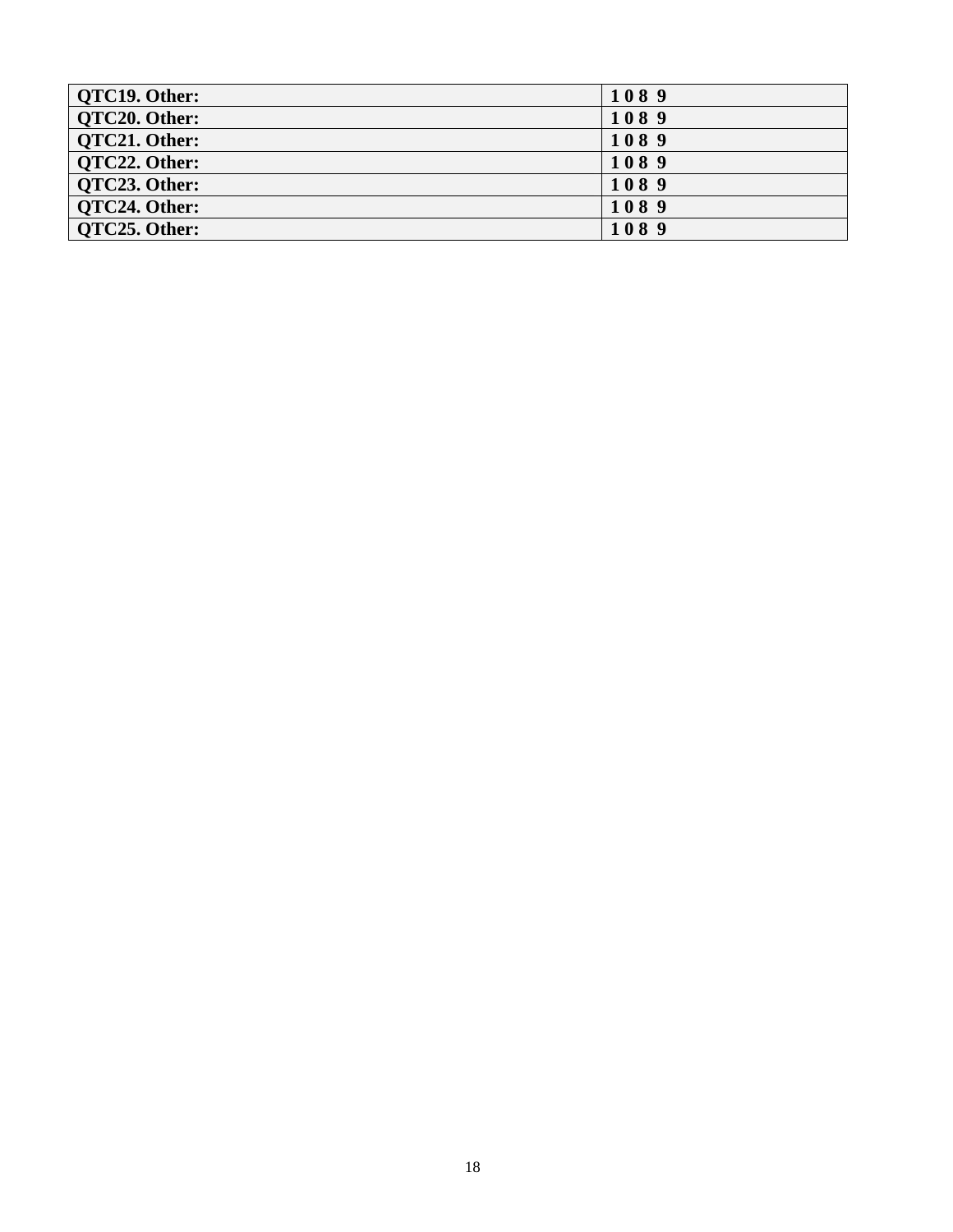| <b>QTC19. Other:</b> | 1089 |
|----------------------|------|
| QTC20. Other:        | 1089 |
| OTC21. Other:        | 1089 |
| OTC22. Other:        | 1089 |
| OTC23. Other:        | 1089 |
| OTC24. Other:        | 1089 |
| OTC25. Other:        | 1089 |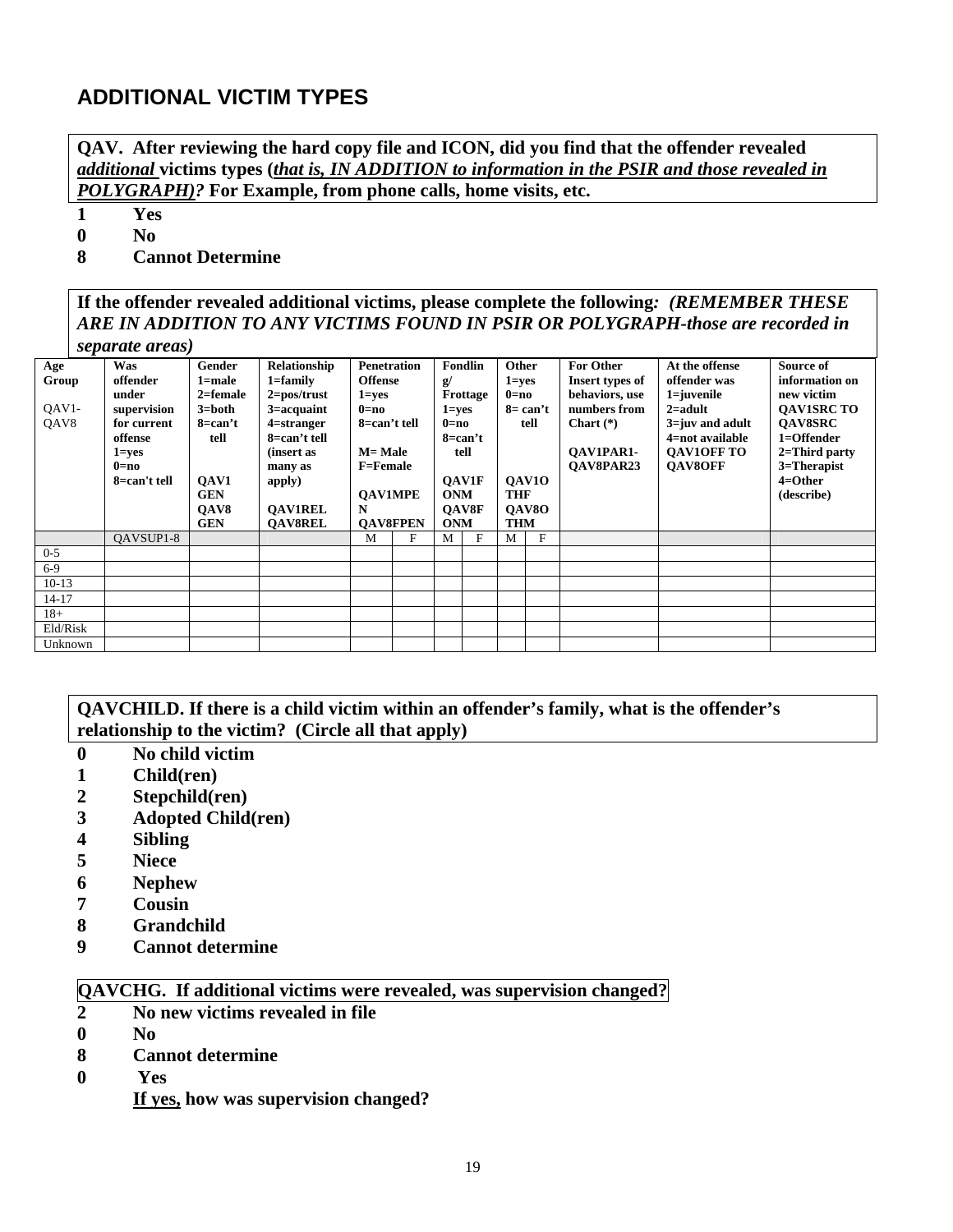### **ADDITIONAL VICTIM TYPES**

**QAV. After reviewing the hard copy file and ICON, did you find that the offender revealed**  *additional* **victims types (***that is, IN ADDITION to information in the PSIR and those revealed in POLYGRAPH)?* **For Example, from phone calls, home visits, etc.** 

**1 Yes** 

**0 No** 

**8 Cannot Determine** 

**If the offender revealed additional victims, please complete the following***: (REMEMBER THESE ARE IN ADDITION TO ANY VICTIMS FOUND IN PSIR OR POLYGRAPH-those are recorded in separate areas)* 

| Age       | Was          | Gender       | <b>Relationship</b>   | <b>Penetration</b> |   |               | <b>Fondlin</b> | Other      |              | <b>For Other</b> | At the offense      | Source of         |  |  |
|-----------|--------------|--------------|-----------------------|--------------------|---|---------------|----------------|------------|--------------|------------------|---------------------|-------------------|--|--|
| Group     | offender     | 1=male       | $1 = family$          | <b>Offense</b>     |   | $\mathbf{g}/$ |                | $1 = yes$  |              | Insert types of  | offender was        | information on    |  |  |
|           | under        | $2 =$ female | $2 = pos/trust$       | $1 = yes$          |   |               | Frottage       | $0=$ no    |              | behaviors, use   | $1 = i$ uvenile     | new victim        |  |  |
| $OAV1-$   | supervision  | 3=both       | $3 = \text{acquaint}$ | $0=$ no            |   | $1 = ves$     |                |            | $8 = can't$  | numbers from     | $2 =$ adult         | <b>OAVISRC TO</b> |  |  |
| QAV8      | for current  | 8=can't      | $4$ =stranger         | 8=can't tell       |   | $0=$ no       |                |            | tell         | Chart $(*)$      | $3 = iuv$ and adult | <b>OAV8SRC</b>    |  |  |
|           | offense      | tell         | 8=can't tell          |                    |   | 8=can't       |                |            |              |                  | 4=not available     | 1=Offender        |  |  |
|           | $1 = yes$    |              | (insert as            | $M=$ Male          |   |               | tell           |            |              | <b>OAV1PAR1-</b> | <b>OAV1OFF TO</b>   | $2 = Third$ party |  |  |
|           | $0=$ no      |              | many as               | <b>F=Female</b>    |   |               |                |            |              | <b>OAV8PAR23</b> | <b>OAV8OFF</b>      | 3=Therapist       |  |  |
|           | 8=can't tell | OAV1         | apply)                |                    |   |               | <b>OAV1F</b>   |            | <b>OAV10</b> |                  |                     | $4=O$ ther        |  |  |
|           |              | <b>GEN</b>   |                       | <b>OAV1MPE</b>     |   | <b>ONM</b>    |                | <b>THF</b> |              |                  |                     | (describe)        |  |  |
|           |              | OAV8         | <b>OAV1REL</b>        | N                  |   |               | <b>OAV8F</b>   |            | <b>OAV8O</b> |                  |                     |                   |  |  |
|           |              | <b>GEN</b>   | <b>OAV8REL</b>        | <b>OAV8FPEN</b>    |   | <b>ONM</b>    |                |            |              | <b>THM</b>       |                     |                   |  |  |
|           | OAVSUP1-8    |              |                       | M                  | F | M             | F              | M          | F            |                  |                     |                   |  |  |
| $0 - 5$   |              |              |                       |                    |   |               |                |            |              |                  |                     |                   |  |  |
| $6-9$     |              |              |                       |                    |   |               |                |            |              |                  |                     |                   |  |  |
| $10-13$   |              |              |                       |                    |   |               |                |            |              |                  |                     |                   |  |  |
| $14 - 17$ |              |              |                       |                    |   |               |                |            |              |                  |                     |                   |  |  |
| $18+$     |              |              |                       |                    |   |               |                |            |              |                  |                     |                   |  |  |
| Eld/Risk  |              |              |                       |                    |   |               |                |            |              |                  |                     |                   |  |  |
| Unknown   |              |              |                       |                    |   |               |                |            |              |                  |                     |                   |  |  |
|           |              |              |                       |                    |   |               |                |            |              |                  |                     |                   |  |  |

#### **QAVCHILD. If there is a child victim within an offender's family, what is the offender's relationship to the victim? (Circle all that apply)**

- **0 No child victim**
- **1 Child(ren)**
- **2 Stepchild(ren)**
- **3 Adopted Child(ren)**
- **4 Sibling**
- **5 Niece**
- **6 Nephew**
- **7 Cousin**
- **8 Grandchild**
- **9 Cannot determine**

#### **QAVCHG. If additional victims were revealed, was supervision changed?**

- **2 No new victims revealed in file**
- **0 No**
- **8 Cannot determine**
- **0 Yes** 
	- **If yes, how was supervision changed?**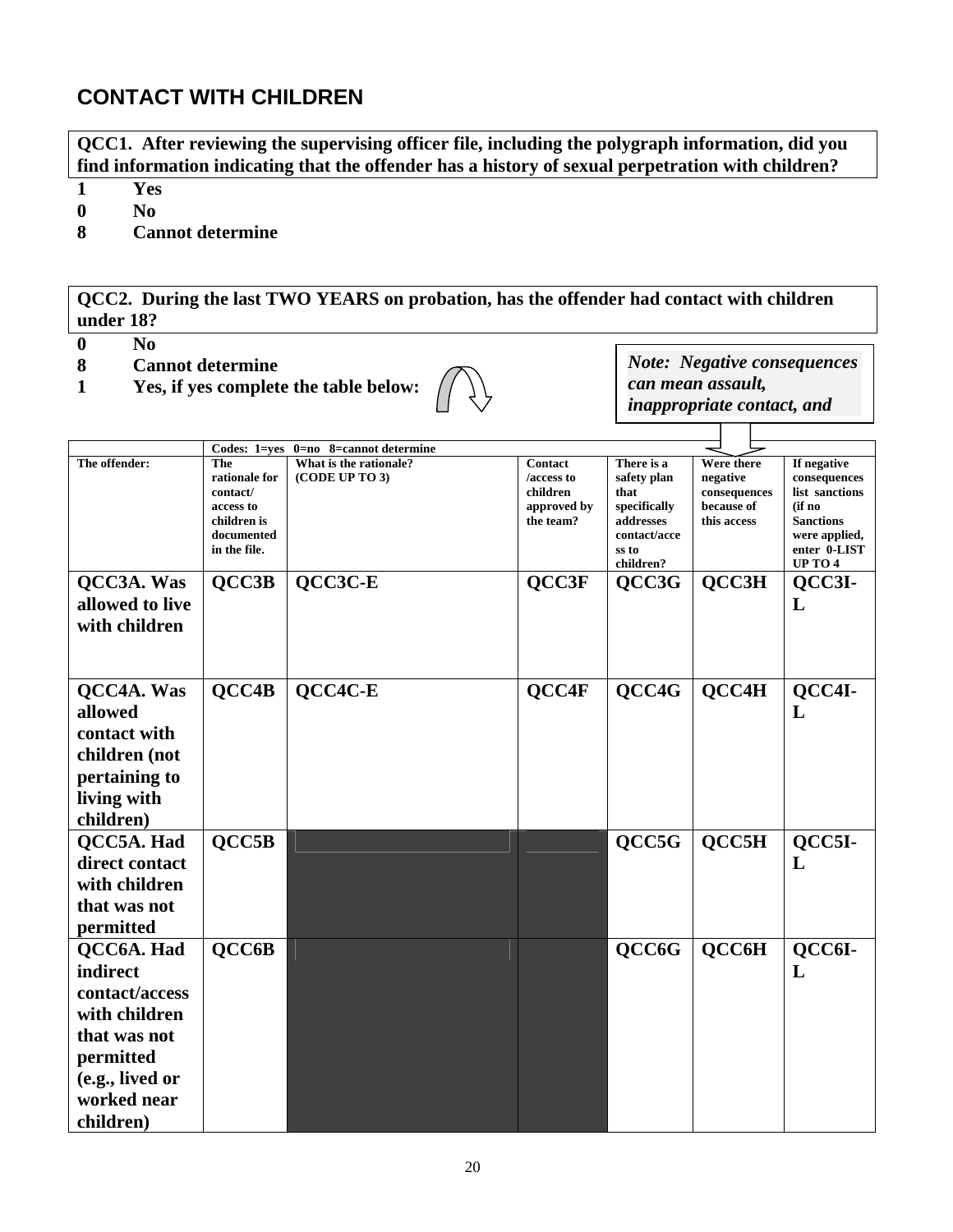### **CONTACT WITH CHILDREN**

**QCC1. After reviewing the supervising officer file, including the polygraph information, did you find information indicating that the offender has a history of sexual perpetration with children?** 

**1 Yes** 

**0 No** 

**8 Cannot determine** 

**QCC2. During the last TWO YEARS on probation, has the offender had contact with children under 18?** 

- $\overline{0}$  No
- **8 Cannot determine**
- **1 Yes, if yes complete the table below:**



*Note: Negative consequences can mean assault, inappropriate contact, and* 

> $\top$  $\top$

|                 | Codes: 1=yes              | $0=$ no 8=cannot determine |             |                           |              |                                   |
|-----------------|---------------------------|----------------------------|-------------|---------------------------|--------------|-----------------------------------|
| The offender:   | The                       | What is the rationale?     | Contact     | There is a                | Were there   | If negative                       |
|                 | rationale for             | (CODE UP TO 3)             | /access to  | safety plan               | negative     | consequences                      |
|                 | contact/                  |                            | children    | that                      | consequences | list sanctions                    |
|                 | access to                 |                            | approved by | specifically              | because of   | (if no                            |
|                 | children is<br>documented |                            | the team?   | addresses<br>contact/acce | this access  | <b>Sanctions</b><br>were applied, |
|                 | in the file.              |                            |             | ss to                     |              | enter 0-LIST                      |
|                 |                           |                            |             | children?                 |              | <b>UP TO 4</b>                    |
| QCC3A. Was      | QCC3B                     | QCC3C-E                    | QCC3F       | QCC3G                     | QCC3H        | QCC3I-                            |
| allowed to live |                           |                            |             |                           |              | L                                 |
| with children   |                           |                            |             |                           |              |                                   |
|                 |                           |                            |             |                           |              |                                   |
|                 |                           |                            |             |                           |              |                                   |
|                 |                           |                            |             |                           |              |                                   |
| QCC4A. Was      | QCC4B                     | QCC4C-E                    | QCC4F       | QCC4G                     | QCC4H        | QCC4I-                            |
|                 |                           |                            |             |                           |              |                                   |
| allowed         |                           |                            |             |                           |              | L                                 |
| contact with    |                           |                            |             |                           |              |                                   |
| children (not   |                           |                            |             |                           |              |                                   |
| pertaining to   |                           |                            |             |                           |              |                                   |
|                 |                           |                            |             |                           |              |                                   |
| living with     |                           |                            |             |                           |              |                                   |
| children)       |                           |                            |             |                           |              |                                   |
| QCC5A. Had      | OCC5B                     |                            |             | QCC5G                     | QCC5H        | QCC5I-                            |
| direct contact  |                           |                            |             |                           |              | L                                 |
|                 |                           |                            |             |                           |              |                                   |
| with children   |                           |                            |             |                           |              |                                   |
| that was not    |                           |                            |             |                           |              |                                   |
| permitted       |                           |                            |             |                           |              |                                   |
| QCC6A. Had      | QCC6B                     |                            |             | QCC6G                     | QCC6H        | QCC6I-                            |
| indirect        |                           |                            |             |                           |              | L                                 |
| contact/access  |                           |                            |             |                           |              |                                   |
| with children   |                           |                            |             |                           |              |                                   |
| that was not    |                           |                            |             |                           |              |                                   |
|                 |                           |                            |             |                           |              |                                   |
| permitted       |                           |                            |             |                           |              |                                   |
| (e.g., lived or |                           |                            |             |                           |              |                                   |
| worked near     |                           |                            |             |                           |              |                                   |
| children)       |                           |                            |             |                           |              |                                   |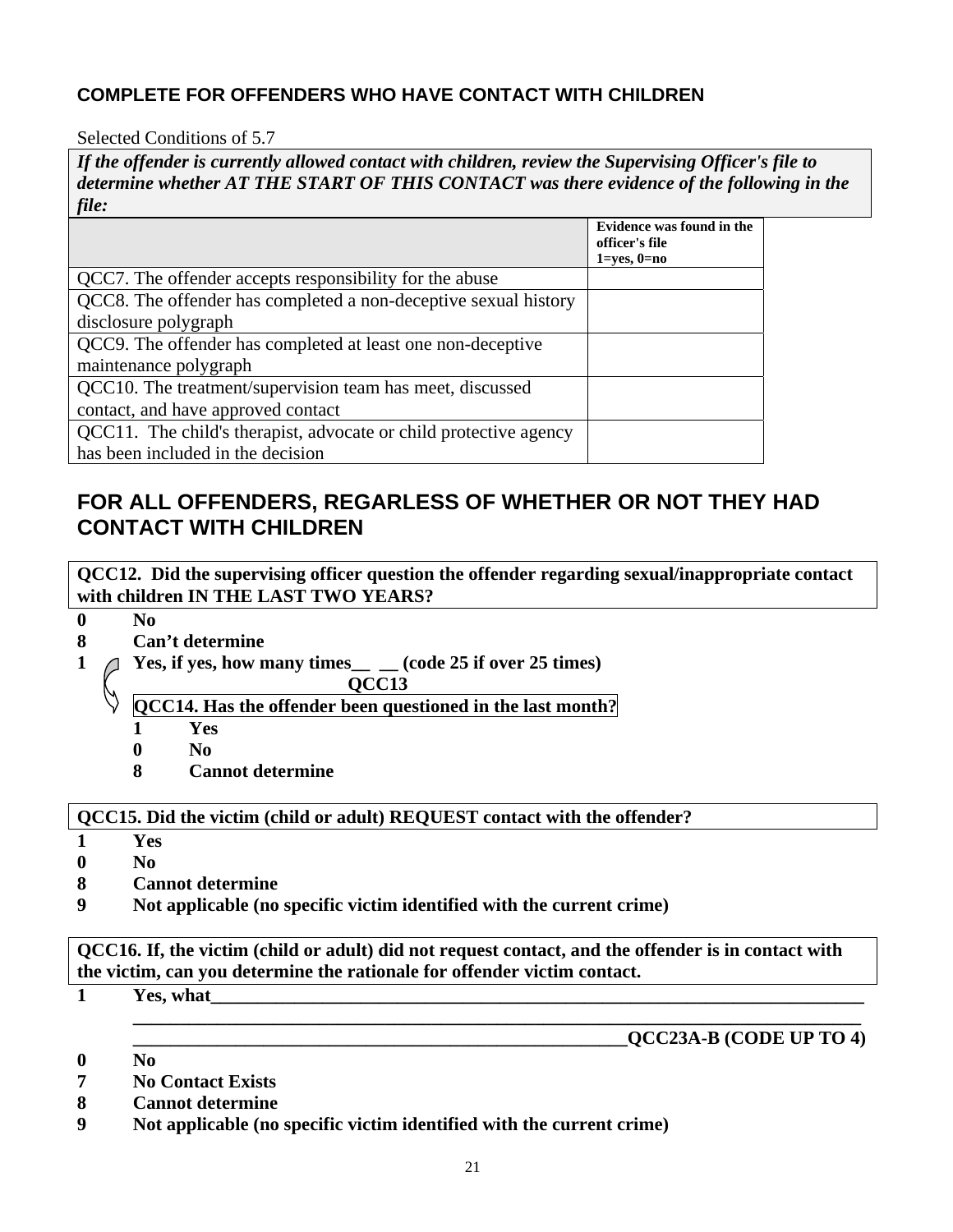### **COMPLETE FOR OFFENDERS WHO HAVE CONTACT WITH CHILDREN**

#### Selected Conditions of 5.7

*If the offender is currently allowed contact with children, review the Supervising Officer's file to determine whether AT THE START OF THIS CONTACT was there evidence of the following in the file:*

|                                                                   | Evidence was found in the<br>officer's file |
|-------------------------------------------------------------------|---------------------------------------------|
|                                                                   | $1 = yes, 0 = no$                           |
| QCC7. The offender accepts responsibility for the abuse           |                                             |
| QCC8. The offender has completed a non-deceptive sexual history   |                                             |
| disclosure polygraph                                              |                                             |
| QCC9. The offender has completed at least one non-deceptive       |                                             |
| maintenance polygraph                                             |                                             |
| QCC10. The treatment/supervision team has meet, discussed         |                                             |
| contact, and have approved contact                                |                                             |
| QCC11. The child's therapist, advocate or child protective agency |                                             |
| has been included in the decision                                 |                                             |

### **FOR ALL OFFENDERS, REGARLESS OF WHETHER OR NOT THEY HAD CONTACT WITH CHILDREN**

**QCC12. Did the supervising officer question the offender regarding sexual/inappropriate contact with children IN THE LAST TWO YEARS?**

**0 No** 

- **8 Can't determine**
- **1 Yes, if yes, how many times\_\_ \_\_ (code 25 if over 25 times)** 
	- **QCC13**
	- **QCC14. Has the offender been questioned in the last month?**
		- **1 Yes**
		- **0 No**
		- **8 Cannot determine**

#### **QCC15. Did the victim (child or adult) REQUEST contact with the offender?**

- **1 Yes**
- **0 No**
- **8 Cannot determine**
- **9 Not applicable (no specific victim identified with the current crime)**

**QCC16. If, the victim (child or adult) did not request contact, and the offender is in contact with the victim, can you determine the rationale for offender victim contact.** 

**1 Yes, what\_\_\_\_\_\_\_\_\_\_\_\_\_\_\_\_\_\_\_\_\_\_\_\_\_\_\_\_\_\_\_\_\_\_\_\_\_\_\_\_\_\_\_\_\_\_\_\_\_\_\_\_\_\_\_\_\_\_\_\_\_\_\_\_\_\_\_\_\_\_** 

#### **\_\_\_\_\_\_\_\_\_\_\_\_\_\_\_\_\_\_\_\_\_\_\_\_\_\_\_\_\_\_\_\_\_\_\_\_\_\_\_\_\_\_\_\_\_\_\_\_\_\_\_\_\_\_\_\_\_\_\_\_\_\_\_\_\_\_\_\_\_\_\_\_\_\_\_\_\_\_ \_\_\_\_\_\_\_\_\_\_\_\_\_\_\_\_\_\_\_\_\_\_\_\_\_\_\_\_\_\_\_\_\_\_\_\_\_\_\_\_\_\_\_\_\_\_\_\_\_\_\_\_\_QCC23A-B (CODE UP TO 4)**

- **0 No**
- **7 No Contact Exists**
- **8 Cannot determine**
- **9 Not applicable (no specific victim identified with the current crime)**